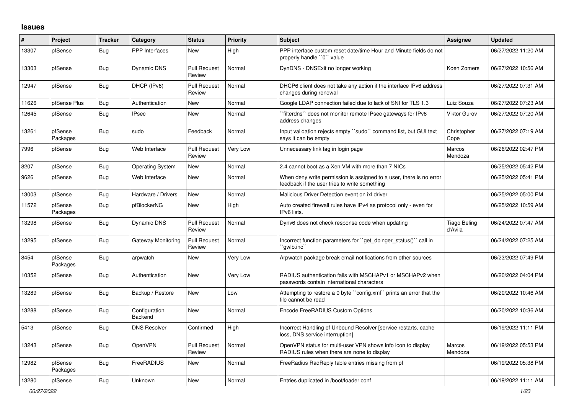## **Issues**

| #     | Project             | <b>Tracker</b> | Category                        | <b>Status</b>                 | Priority | <b>Subject</b>                                                                                                       | <b>Assignee</b>                | <b>Updated</b>      |
|-------|---------------------|----------------|---------------------------------|-------------------------------|----------|----------------------------------------------------------------------------------------------------------------------|--------------------------------|---------------------|
| 13307 | pfSense             | Bug            | <b>PPP</b> Interfaces           | <b>New</b>                    | High     | PPP interface custom reset date/time Hour and Minute fields do not<br>properly handle "0" value                      |                                | 06/27/2022 11:20 AM |
| 13303 | pfSense             | <b>Bug</b>     | Dynamic DNS                     | <b>Pull Request</b><br>Review | Normal   | DynDNS - DNSExit no longer working                                                                                   | Koen Zomers                    | 06/27/2022 10:56 AM |
| 12947 | pfSense             | Bug            | DHCP (IPv6)                     | <b>Pull Request</b><br>Review | Normal   | DHCP6 client does not take any action if the interface IPv6 address<br>changes during renewal                        |                                | 06/27/2022 07:31 AM |
| 11626 | pfSense Plus        | Bug            | Authentication                  | <b>New</b>                    | Normal   | Google LDAP connection failed due to lack of SNI for TLS 1.3                                                         | Luiz Souza                     | 06/27/2022 07:23 AM |
| 12645 | pfSense             | <b>Bug</b>     | <b>IPsec</b>                    | <b>New</b>                    | Normal   | filterdns" does not monitor remote IPsec gateways for IPv6<br>address changes                                        | <b>Viktor Gurov</b>            | 06/27/2022 07:20 AM |
| 13261 | pfSense<br>Packages | <b>Bug</b>     | sudo                            | Feedback                      | Normal   | Input validation rejects empty "sudo" command list, but GUI text<br>says it can be empty                             | Christopher<br>Cope            | 06/27/2022 07:19 AM |
| 7996  | pfSense             | Bug            | Web Interface                   | <b>Pull Request</b><br>Review | Very Low | Unnecessary link tag in login page                                                                                   | Marcos<br>Mendoza              | 06/26/2022 02:47 PM |
| 8207  | pfSense             | <b>Bug</b>     | <b>Operating System</b>         | <b>New</b>                    | Normal   | 2.4 cannot boot as a Xen VM with more than 7 NICs                                                                    |                                | 06/25/2022 05:42 PM |
| 9626  | pfSense             | <b>Bug</b>     | Web Interface                   | <b>New</b>                    | Normal   | When deny write permission is assigned to a user, there is no error<br>feedback if the user tries to write something |                                | 06/25/2022 05:41 PM |
| 13003 | pfSense             | <b>Bug</b>     | Hardware / Drivers              | New                           | Normal   | Malicious Driver Detection event on ixl driver                                                                       |                                | 06/25/2022 05:00 PM |
| 11572 | pfSense<br>Packages | Bug            | pfBlockerNG                     | <b>New</b>                    | High     | Auto created firewall rules have IPv4 as protocol only - even for<br>IPv6 lists.                                     |                                | 06/25/2022 10:59 AM |
| 13298 | pfSense             | Bug            | <b>Dynamic DNS</b>              | <b>Pull Request</b><br>Review | Normal   | Dynv6 does not check response code when updating                                                                     | <b>Tiago Beling</b><br>d'Avila | 06/24/2022 07:47 AM |
| 13295 | pfSense             | <b>Bug</b>     | Gateway Monitoring              | <b>Pull Request</b><br>Review | Normal   | Incorrect function parameters for "get_dpinger_status()" call in<br>`qwlb.inc``                                      |                                | 06/24/2022 07:25 AM |
| 8454  | pfSense<br>Packages | <b>Bug</b>     | arpwatch                        | <b>New</b>                    | Very Low | Arpwatch package break email notifications from other sources                                                        |                                | 06/23/2022 07:49 PM |
| 10352 | pfSense             | Bug            | Authentication                  | <b>New</b>                    | Very Low | RADIUS authentication fails with MSCHAPv1 or MSCHAPv2 when<br>passwords contain international characters             |                                | 06/20/2022 04:04 PM |
| 13289 | pfSense             | <b>Bug</b>     | Backup / Restore                | <b>New</b>                    | Low      | Attempting to restore a 0 byte "config.xml" prints an error that the<br>file cannot be read                          |                                | 06/20/2022 10:46 AM |
| 13288 | pfSense             | <b>Bug</b>     | Configuration<br><b>Backend</b> | <b>New</b>                    | Normal   | Encode FreeRADIUS Custom Options                                                                                     |                                | 06/20/2022 10:36 AM |
| 5413  | pfSense             | Bug            | <b>DNS Resolver</b>             | Confirmed                     | High     | Incorrect Handling of Unbound Resolver [service restarts, cache<br>loss, DNS service interruption]                   |                                | 06/19/2022 11:11 PM |
| 13243 | pfSense             | <b>Bug</b>     | <b>OpenVPN</b>                  | <b>Pull Request</b><br>Review | Normal   | OpenVPN status for multi-user VPN shows info icon to display<br>RADIUS rules when there are none to display          | Marcos<br>Mendoza              | 06/19/2022 05:53 PM |
| 12982 | pfSense<br>Packages | <b>Bug</b>     | FreeRADIUS                      | <b>New</b>                    | Normal   | FreeRadius RadReply table entries missing from pf                                                                    |                                | 06/19/2022 05:38 PM |
| 13280 | pfSense             | Bug            | <b>Unknown</b>                  | <b>New</b>                    | Normal   | Entries duplicated in /boot/loader.conf                                                                              |                                | 06/19/2022 11:11 AM |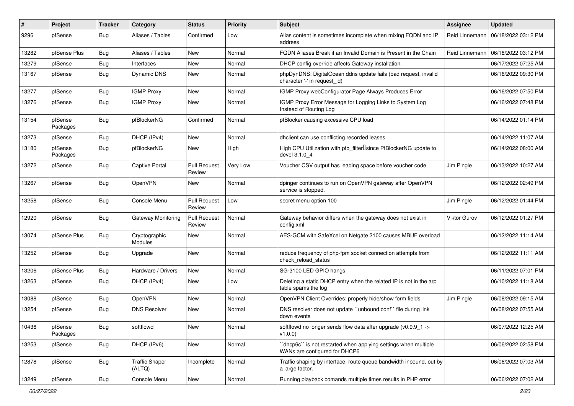| ∦     | Project             | <b>Tracker</b> | Category                        | <b>Status</b>                 | <b>Priority</b> | <b>Subject</b>                                                                                   | <b>Assignee</b> | <b>Updated</b>      |
|-------|---------------------|----------------|---------------------------------|-------------------------------|-----------------|--------------------------------------------------------------------------------------------------|-----------------|---------------------|
| 9296  | pfSense             | <b>Bug</b>     | Aliases / Tables                | Confirmed                     | Low             | Alias content is sometimes incomplete when mixing FQDN and IP<br>address                         | Reid Linnemann  | 06/18/2022 03:12 PM |
| 13282 | pfSense Plus        | Bug            | Aliases / Tables                | New                           | Normal          | FQDN Aliases Break if an Invalid Domain is Present in the Chain                                  | Reid Linnemann  | 06/18/2022 03:12 PM |
| 13279 | pfSense             | <b>Bug</b>     | Interfaces                      | New                           | Normal          | DHCP config override affects Gateway installation.                                               |                 | 06/17/2022 07:25 AM |
| 13167 | pfSense             | <b>Bug</b>     | <b>Dynamic DNS</b>              | <b>New</b>                    | Normal          | phpDynDNS: DigitalOcean ddns update fails (bad request, invalid<br>character '-' in request_id)  |                 | 06/16/2022 09:30 PM |
| 13277 | pfSense             | <b>Bug</b>     | <b>IGMP Proxy</b>               | New                           | Normal          | IGMP Proxy webConfigurator Page Always Produces Error                                            |                 | 06/16/2022 07:50 PM |
| 13276 | pfSense             | <b>Bug</b>     | <b>IGMP Proxy</b>               | New                           | Normal          | IGMP Proxy Error Message for Logging Links to System Log<br>Instead of Routing Log               |                 | 06/16/2022 07:48 PM |
| 13154 | pfSense<br>Packages | <b>Bug</b>     | pfBlockerNG                     | Confirmed                     | Normal          | pfBlocker causing excessive CPU load                                                             |                 | 06/14/2022 01:14 PM |
| 13273 | pfSense             | Bug            | DHCP (IPv4)                     | <b>New</b>                    | Normal          | dhclient can use conflicting recorded leases                                                     |                 | 06/14/2022 11:07 AM |
| 13180 | pfSense<br>Packages | Bug            | pfBlockerNG                     | <b>New</b>                    | High            | High CPU Utilization with pfb_filter <sup>[]</sup> since PfBlockerNG update to<br>devel 3.1.0 4  |                 | 06/14/2022 08:00 AM |
| 13272 | pfSense             | <b>Bug</b>     | Captive Portal                  | <b>Pull Request</b><br>Review | Very Low        | Voucher CSV output has leading space before voucher code                                         | Jim Pingle      | 06/13/2022 10:27 AM |
| 13267 | pfSense             | Bug            | OpenVPN                         | New                           | Normal          | dpinger continues to run on OpenVPN gateway after OpenVPN<br>service is stopped.                 |                 | 06/12/2022 02:49 PM |
| 13258 | pfSense             | <b>Bug</b>     | Console Menu                    | <b>Pull Request</b><br>Review | Low             | secret menu option 100                                                                           | Jim Pingle      | 06/12/2022 01:44 PM |
| 12920 | pfSense             | Bug            | Gateway Monitoring              | <b>Pull Request</b><br>Review | Normal          | Gateway behavior differs when the gateway does not exist in<br>config.xml                        | Viktor Gurov    | 06/12/2022 01:27 PM |
| 13074 | pfSense Plus        | <b>Bug</b>     | Cryptographic<br>Modules        | New                           | Normal          | AES-GCM with SafeXcel on Netgate 2100 causes MBUF overload                                       |                 | 06/12/2022 11:14 AM |
| 13252 | pfSense             | Bug            | Upgrade                         | <b>New</b>                    | Normal          | reduce frequency of php-fpm socket connection attempts from<br>check reload status               |                 | 06/12/2022 11:11 AM |
| 13206 | pfSense Plus        | <b>Bug</b>     | Hardware / Drivers              | <b>New</b>                    | Normal          | SG-3100 LED GPIO hangs                                                                           |                 | 06/11/2022 07:01 PM |
| 13263 | pfSense             | Bug            | DHCP (IPv4)                     | New                           | Low             | Deleting a static DHCP entry when the related IP is not in the arp<br>table spams the log        |                 | 06/10/2022 11:18 AM |
| 13088 | pfSense             | <b>Bug</b>     | OpenVPN                         | <b>New</b>                    | Normal          | OpenVPN Client Overrides: properly hide/show form fields                                         | Jim Pingle      | 06/08/2022 09:15 AM |
| 13254 | pfSense             | <b>Bug</b>     | <b>DNS Resolver</b>             | New                           | Normal          | DNS resolver does not update "unbound.conf" file during link<br>down events                      |                 | 06/08/2022 07:55 AM |
| 10436 | pfSense<br>Packages | <b>Bug</b>     | softflowd                       | New                           | Normal          | softflowd no longer sends flow data after upgrade (v0.9.9_1 -><br>v1.0.0                         |                 | 06/07/2022 12:25 AM |
| 13253 | pfSense             | <b>Bug</b>     | DHCP (IPv6)                     | New                           | Normal          | 'dhcp6c'' is not restarted when applying settings when multiple<br>WANs are configured for DHCP6 |                 | 06/06/2022 02:58 PM |
| 12878 | pfSense             | <b>Bug</b>     | <b>Traffic Shaper</b><br>(ALTQ) | Incomplete                    | Normal          | Traffic shaping by interface, route queue bandwidth inbound, out by<br>a large factor.           |                 | 06/06/2022 07:03 AM |
| 13249 | pfSense             | Bug            | Console Menu                    | New                           | Normal          | Running playback comands multiple times results in PHP error                                     |                 | 06/06/2022 07:02 AM |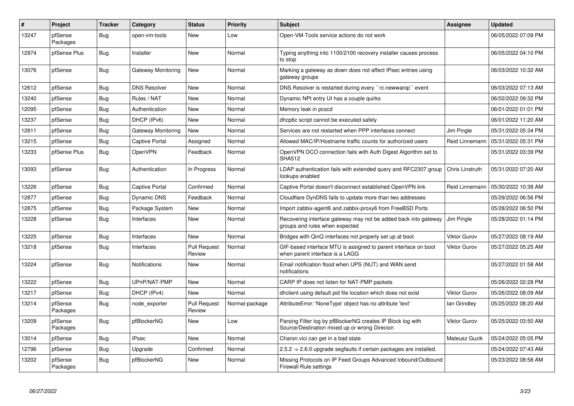| $\vert$ # | <b>Project</b>      | <b>Tracker</b> | Category            | <b>Status</b>                 | <b>Priority</b> | <b>Subject</b>                                                                                               | Assignee            | <b>Updated</b>      |
|-----------|---------------------|----------------|---------------------|-------------------------------|-----------------|--------------------------------------------------------------------------------------------------------------|---------------------|---------------------|
| 13247     | pfSense<br>Packages | Bug            | open-vm-tools       | <b>New</b>                    | Low             | Open-VM-Tools service actions do not work                                                                    |                     | 06/05/2022 07:09 PM |
| 12974     | pfSense Plus        | Bug            | Installer           | <b>New</b>                    | Normal          | Typing anything into 1100/2100 recovery installer causes process<br>to stop                                  |                     | 06/05/2022 04:10 PM |
| 13076     | pfSense             | Bug            | Gateway Monitoring  | <b>New</b>                    | Normal          | Marking a gateway as down does not affect IPsec entries using<br>gateway groups                              |                     | 06/03/2022 10:32 AM |
| 12612     | pfSense             | <b>Bug</b>     | <b>DNS Resolver</b> | <b>New</b>                    | Normal          | DNS Resolver is restarted during every "rc.newwanip" event                                                   |                     | 06/03/2022 07:13 AM |
| 13240     | pfSense             | Bug            | Rules / NAT         | <b>New</b>                    | Normal          | Dynamic NPt entry UI has a couple quirks                                                                     |                     | 06/02/2022 09:32 PM |
| 12095     | pfSense             | Bug            | Authentication      | New                           | Normal          | Memory leak in pcscd                                                                                         |                     | 06/01/2022 01:01 PM |
| 13237     | pfSense             | Bug            | DHCP (IPv6)         | New                           | Normal          | dhcp6c script cannot be executed safely                                                                      |                     | 06/01/2022 11:20 AM |
| 12811     | pfSense             | <b>Bug</b>     | Gateway Monitoring  | <b>New</b>                    | Normal          | Services are not restarted when PPP interfaces connect                                                       | Jim Pingle          | 05/31/2022 05:34 PM |
| 13215     | pfSense             | Bug            | Captive Portal      | Assigned                      | Normal          | Allowed MAC/IP/Hostname traffic counts for authorized users                                                  | Reid Linnemann      | 05/31/2022 05:31 PM |
| 13233     | pfSense Plus        | Bug            | <b>OpenVPN</b>      | Feedback                      | Normal          | OpenVPN DCO connection fails with Auth Digest Algorithm set to<br><b>SHA512</b>                              |                     | 05/31/2022 03:39 PM |
| 13093     | pfSense             | Bug            | Authentication      | In Progress                   | Normal          | LDAP authentication fails with extended query and RFC2307 group<br>lookups enabled                           | Chris Linstruth     | 05/31/2022 07:20 AM |
| 13226     | pfSense             | <b>Bug</b>     | Captive Portal      | Confirmed                     | Normal          | Captive Portal doesn't disconnect established OpenVPN link                                                   | Reid Linnemann      | 05/30/2022 10:38 AM |
| 12877     | pfSense             | Bug            | Dynamic DNS         | Feedback                      | Normal          | Cloudflare DynDNS fails to update more than two addresses                                                    |                     | 05/29/2022 06:56 PM |
| 12875     | pfSense             | Bug            | Package System      | <b>New</b>                    | Normal          | Import zabbix-agent6 and zabbix-proxy6 from FreeBSD Ports                                                    |                     | 05/28/2022 06:50 PM |
| 13228     | pfSense             | Bug            | Interfaces          | New                           | Normal          | Recovering interface gateway may not be added back into gateway<br>groups and rules when expected            | Jim Pingle          | 05/28/2022 01:14 PM |
| 13225     | pfSense             | Bug            | Interfaces          | New                           | Normal          | Bridges with QinQ interfaces not properly set up at boot                                                     | <b>Viktor Gurov</b> | 05/27/2022 08:19 AM |
| 13218     | pfSense             | Bug            | Interfaces          | <b>Pull Request</b><br>Review | Normal          | GIF-based interface MTU is assigned to parent interface on boot<br>when parent interface is a LAGG           | <b>Viktor Gurov</b> | 05/27/2022 05:25 AM |
| 13224     | pfSense             | Bug            | Notifications       | <b>New</b>                    | Normal          | Email notification flood when UPS (NUT) and WAN send<br>notifications                                        |                     | 05/27/2022 01:58 AM |
| 13222     | pfSense             | Bug            | UPnP/NAT-PMP        | <b>New</b>                    | Normal          | CARP IP does not listen for NAT-PMP packets                                                                  |                     | 05/26/2022 02:28 PM |
| 13217     | pfSense             | Bug            | DHCP (IPv4)         | New                           | Normal          | dhclient using default pid file location which does not exist                                                | <b>Viktor Gurov</b> | 05/26/2022 08:09 AM |
| 13214     | pfSense<br>Packages | Bug            | node_exporter       | <b>Pull Request</b><br>Review | Normal-package  | AttributeError: 'NoneType' object has no attribute 'text'                                                    | lan Grindley        | 05/25/2022 08:20 AM |
| 13209     | pfSense<br>Packages | Bug            | pfBlockerNG         | <b>New</b>                    | Low             | Parsing Filter log by pfBlockerNG creates IP Block log with<br>Source/Destination mixed up or wrong Direcion | <b>Viktor Gurov</b> | 05/25/2022 03:50 AM |
| 13014     | pfSense             | <b>Bug</b>     | <b>IPsec</b>        | <b>New</b>                    | Normal          | Charon.vici can get in a bad state                                                                           | Mateusz Guzik       | 05/24/2022 05:05 PM |
| 12796     | pfSense             | Bug            | Upgrade             | Confirmed                     | Normal          | 2.5.2 -> 2.6.0 upgrade segfaults if certain packages are installed.                                          |                     | 05/24/2022 07:43 AM |
| 13202     | pfSense<br>Packages | <b>Bug</b>     | pfBlockerNG         | <b>New</b>                    | Normal          | Missing Protocols on IP Feed Groups Advanced Inbound/Outbound<br><b>Firewall Rule settings</b>               |                     | 05/23/2022 08:58 AM |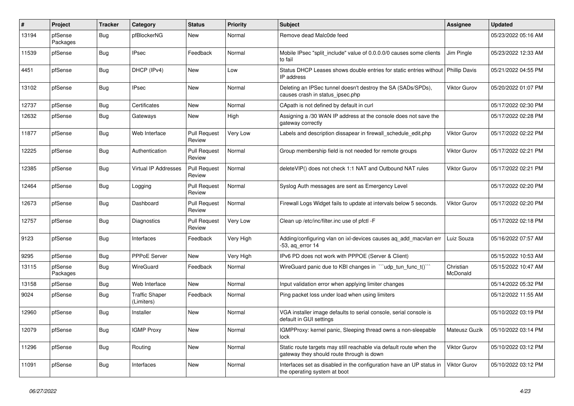| $\sharp$ | Project             | Tracker    | Category                            | <b>Status</b>                 | <b>Priority</b> | <b>Subject</b>                                                                                                   | Assignee              | <b>Updated</b>      |
|----------|---------------------|------------|-------------------------------------|-------------------------------|-----------------|------------------------------------------------------------------------------------------------------------------|-----------------------|---------------------|
| 13194    | pfSense<br>Packages | Bug        | pfBlockerNG                         | New                           | Normal          | Remove dead Malc0de feed                                                                                         |                       | 05/23/2022 05:16 AM |
| 11539    | pfSense             | <b>Bug</b> | <b>IPsec</b>                        | Feedback                      | Normal          | Mobile IPsec "split include" value of 0.0.0.0/0 causes some clients<br>to fail                                   | Jim Pingle            | 05/23/2022 12:33 AM |
| 4451     | pfSense             | Bug        | DHCP (IPv4)                         | New                           | Low             | Status DHCP Leases shows double entries for static entries without<br>IP address                                 | Phillip Davis         | 05/21/2022 04:55 PM |
| 13102    | pfSense             | Bug        | <b>IPsec</b>                        | <b>New</b>                    | Normal          | Deleting an IPSec tunnel doesn't destroy the SA (SADs/SPDs),<br>causes crash in status ipsec.php                 | <b>Viktor Gurov</b>   | 05/20/2022 01:07 PM |
| 12737    | pfSense             | Bug        | Certificates                        | <b>New</b>                    | Normal          | CApath is not defined by default in curl                                                                         |                       | 05/17/2022 02:30 PM |
| 12632    | pfSense             | Bug        | Gateways                            | New                           | High            | Assigning a /30 WAN IP address at the console does not save the<br>gateway correctly                             |                       | 05/17/2022 02:28 PM |
| 11877    | pfSense             | Bug        | Web Interface                       | <b>Pull Request</b><br>Review | Very Low        | Labels and description dissapear in firewall_schedule_edit.php                                                   | <b>Viktor Gurov</b>   | 05/17/2022 02:22 PM |
| 12225    | pfSense             | Bug        | Authentication                      | <b>Pull Request</b><br>Review | Normal          | Group membership field is not needed for remote groups                                                           | Viktor Gurov          | 05/17/2022 02:21 PM |
| 12385    | pfSense             | Bug        | <b>Virtual IP Addresses</b>         | <b>Pull Request</b><br>Review | Normal          | deleteVIP() does not check 1:1 NAT and Outbound NAT rules                                                        | <b>Viktor Gurov</b>   | 05/17/2022 02:21 PM |
| 12464    | pfSense             | Bug        | Logging                             | <b>Pull Request</b><br>Review | Normal          | Syslog Auth messages are sent as Emergency Level                                                                 |                       | 05/17/2022 02:20 PM |
| 12673    | pfSense             | Bug        | Dashboard                           | <b>Pull Request</b><br>Review | Normal          | Firewall Logs Widget fails to update at intervals below 5 seconds.                                               | Viktor Gurov          | 05/17/2022 02:20 PM |
| 12757    | pfSense             | Bug        | Diagnostics                         | <b>Pull Request</b><br>Review | Very Low        | Clean up /etc/inc/filter.inc use of pfctl -F                                                                     |                       | 05/17/2022 02:18 PM |
| 9123     | pfSense             | <b>Bug</b> | Interfaces                          | Feedback                      | Very High       | Adding/configuring vlan on ixl-devices causes aq_add_macvlan err<br>-53, aq_error 14                             | Luiz Souza            | 05/16/2022 07:57 AM |
| 9295     | pfSense             | Bug        | <b>PPPoE Server</b>                 | <b>New</b>                    | Very High       | IPv6 PD does not work with PPPOE (Server & Client)                                                               |                       | 05/15/2022 10:53 AM |
| 13115    | pfSense<br>Packages | <b>Bug</b> | <b>WireGuard</b>                    | Feedback                      | Normal          | WireGuard panic due to KBI changes in $\lq$ udp tun func t() $\lq$                                               | Christian<br>McDonald | 05/15/2022 10:47 AM |
| 13158    | pfSense             | Bug        | Web Interface                       | <b>New</b>                    | Normal          | Input validation error when applying limiter changes                                                             |                       | 05/14/2022 05:32 PM |
| 9024     | pfSense             | <b>Bug</b> | <b>Traffic Shaper</b><br>(Limiters) | Feedback                      | Normal          | Ping packet loss under load when using limiters                                                                  |                       | 05/12/2022 11:55 AM |
| 12960    | pfSense             | Bug        | Installer                           | New                           | Normal          | VGA installer image defaults to serial console, serial console is<br>default in GUI settings                     |                       | 05/10/2022 03:19 PM |
| 12079    | pfSense             | Bug        | <b>IGMP Proxy</b>                   | New                           | Normal          | IGMPProxy: kernel panic, Sleeping thread owns a non-sleepable<br>lock                                            | Mateusz Guzik         | 05/10/2022 03:14 PM |
| 11296    | pfSense             | Bug        | Routing                             | New                           | Normal          | Static route targets may still reachable via default route when the<br>gateway they should route through is down | <b>Viktor Gurov</b>   | 05/10/2022 03:12 PM |
| 11091    | pfSense             | Bug        | Interfaces                          | New                           | Normal          | Interfaces set as disabled in the configuration have an UP status in<br>the operating system at boot             | <b>Viktor Gurov</b>   | 05/10/2022 03:12 PM |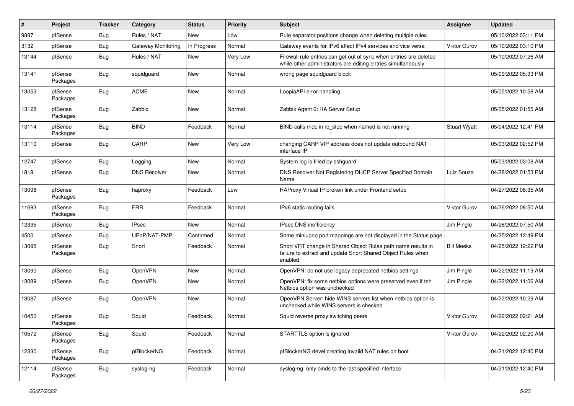| #     | Project             | <b>Tracker</b> | Category            | <b>Status</b> | <b>Priority</b> | Subject                                                                                                                                 | Assignee            | <b>Updated</b>      |
|-------|---------------------|----------------|---------------------|---------------|-----------------|-----------------------------------------------------------------------------------------------------------------------------------------|---------------------|---------------------|
| 9887  | pfSense             | Bug            | Rules / NAT         | New           | Low             | Rule separator positions change when deleting multiple rules                                                                            |                     | 05/10/2022 03:11 PM |
| 3132  | pfSense             | Bug            | Gateway Monitoring  | In Progress   | Normal          | Gateway events for IPv6 affect IPv4 services and vice versa                                                                             | <b>Viktor Gurov</b> | 05/10/2022 03:10 PM |
| 13144 | pfSense             | <b>Bug</b>     | Rules / NAT         | New           | Very Low        | Firewall rule entries can get out of sync when entries are deleted<br>while other administrators are editing entries simultaneously     |                     | 05/10/2022 07:26 AM |
| 13141 | pfSense<br>Packages | <b>Bug</b>     | squidguard          | <b>New</b>    | Normal          | wrong page squidguard block                                                                                                             |                     | 05/09/2022 05:33 PM |
| 13053 | pfSense<br>Packages | <b>Bug</b>     | <b>ACME</b>         | New           | Normal          | LoopiaAPI error handling                                                                                                                |                     | 05/05/2022 10:58 AM |
| 13128 | pfSense<br>Packages | <b>Bug</b>     | Zabbix              | New           | Normal          | Zabbix Agent 6: HA Server Setup                                                                                                         |                     | 05/05/2022 01:55 AM |
| 13114 | pfSense<br>Packages | <b>Bug</b>     | <b>BIND</b>         | Feedback      | Normal          | BIND calls rndc in rc_stop when named is not running                                                                                    | <b>Stuart Wyatt</b> | 05/04/2022 12:41 PM |
| 13110 | pfSense             | Bug            | CARP                | New           | Very Low        | changing CARP VIP address does not update outbound NAT<br>interface IP                                                                  |                     | 05/03/2022 02:52 PM |
| 12747 | pfSense             | Bug            | Logging             | New           | Normal          | System log is filled by sshguard                                                                                                        |                     | 05/03/2022 03:08 AM |
| 1819  | pfSense             | <b>Bug</b>     | <b>DNS Resolver</b> | New           | Normal          | DNS Resolver Not Registering DHCP Server Specified Domain<br>Name                                                                       | Luiz Souza          | 04/28/2022 01:53 PM |
| 13098 | pfSense<br>Packages | Bug            | haproxy             | Feedback      | Low             | HAProxy Virtual IP broken link under Frontend setup                                                                                     |                     | 04/27/2022 08:35 AM |
| 11693 | pfSense<br>Packages | <b>Bug</b>     | <b>FRR</b>          | Feedback      | Normal          | IPv6 static routing fails                                                                                                               | <b>Viktor Gurov</b> | 04/26/2022 08:50 AM |
| 12335 | pfSense             | <b>Bug</b>     | <b>IPsec</b>        | <b>New</b>    | Normal          | IPsec DNS inefficiency                                                                                                                  | Jim Pingle          | 04/26/2022 07:50 AM |
| 4500  | pfSense             | Bug            | UPnP/NAT-PMP        | Confirmed     | Normal          | Some miniupnp port mappings are not displayed in the Status page                                                                        |                     | 04/25/2022 12:49 PM |
| 13095 | pfSense<br>Packages | Bug            | Snort               | Feedback      | Normal          | Snort VRT change in Shared Object Rules path name results in<br>failure to extract and update Snort Shared Object Rules when<br>enabled | <b>Bill Meeks</b>   | 04/25/2022 12:22 PM |
| 13090 | pfSense             | Bug            | OpenVPN             | <b>New</b>    | Normal          | OpenVPN: do not use legacy deprecated netbios settings                                                                                  | Jim Pingle          | 04/22/2022 11:19 AM |
| 13089 | pfSense             | Bug            | OpenVPN             | New           | Normal          | OpenVPN: fix some netbios options were preserved even if teh<br>Netbios option was unchecked                                            | Jim Pingle          | 04/22/2022 11:06 AM |
| 13087 | pfSense             | Bug            | OpenVPN             | <b>New</b>    | Normal          | OpenVPN Server: hide WINS servers list when netbios option is<br>unchecked while WINS servers is checked                                |                     | 04/22/2022 10:29 AM |
| 10450 | pfSense<br>Packages | Bug            | Squid               | Feedback      | Normal          | Squid reverse proxy switching peers                                                                                                     | <b>Viktor Gurov</b> | 04/22/2022 02:21 AM |
| 10572 | pfSense<br>Packages | <b>Bug</b>     | Squid               | Feedback      | Normal          | STARTTLS option is ignored                                                                                                              | Viktor Gurov        | 04/22/2022 02:20 AM |
| 12330 | pfSense<br>Packages | <b>Bug</b>     | pfBlockerNG         | Feedback      | Normal          | pfBlockerNG devel creating invalid NAT rules on boot                                                                                    |                     | 04/21/2022 12:40 PM |
| 12114 | pfSense<br>Packages | Bug            | syslog-ng           | Feedback      | Normal          | syslog-ng only binds to the last specified interface                                                                                    |                     | 04/21/2022 12:40 PM |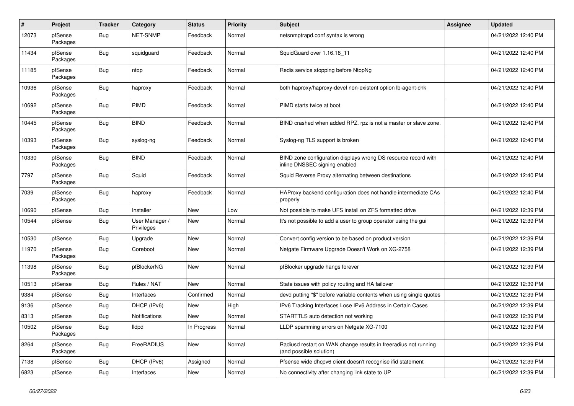| $\pmb{\#}$ | Project             | Tracker    | Category                     | <b>Status</b> | <b>Priority</b> | Subject                                                                                         | <b>Assignee</b> | <b>Updated</b>      |
|------------|---------------------|------------|------------------------------|---------------|-----------------|-------------------------------------------------------------------------------------------------|-----------------|---------------------|
| 12073      | pfSense<br>Packages | Bug        | <b>NET-SNMP</b>              | Feedback      | Normal          | netsnmptrapd.conf syntax is wrong                                                               |                 | 04/21/2022 12:40 PM |
| 11434      | pfSense<br>Packages | Bug        | squidguard                   | Feedback      | Normal          | SquidGuard over 1.16.18 11                                                                      |                 | 04/21/2022 12:40 PM |
| 11185      | pfSense<br>Packages | <b>Bug</b> | ntop                         | Feedback      | Normal          | Redis service stopping before NtopNg                                                            |                 | 04/21/2022 12:40 PM |
| 10936      | pfSense<br>Packages | Bug        | haproxy                      | Feedback      | Normal          | both haproxy/haproxy-devel non-existent option lb-agent-chk                                     |                 | 04/21/2022 12:40 PM |
| 10692      | pfSense<br>Packages | Bug        | PIMD                         | Feedback      | Normal          | PIMD starts twice at boot                                                                       |                 | 04/21/2022 12:40 PM |
| 10445      | pfSense<br>Packages | <b>Bug</b> | <b>BIND</b>                  | Feedback      | Normal          | BIND crashed when added RPZ. rpz is not a master or slave zone.                                 |                 | 04/21/2022 12:40 PM |
| 10393      | pfSense<br>Packages | Bug        | syslog-ng                    | Feedback      | Normal          | Syslog-ng TLS support is broken                                                                 |                 | 04/21/2022 12:40 PM |
| 10330      | pfSense<br>Packages | Bug        | <b>BIND</b>                  | Feedback      | Normal          | BIND zone configuration displays wrong DS resource record with<br>inline DNSSEC signing enabled |                 | 04/21/2022 12:40 PM |
| 7797       | pfSense<br>Packages | <b>Bug</b> | Squid                        | Feedback      | Normal          | Squid Reverse Proxy alternating between destinations                                            |                 | 04/21/2022 12:40 PM |
| 7039       | pfSense<br>Packages | <b>Bug</b> | haproxy                      | Feedback      | Normal          | HAProxy backend configuration does not handle intermediate CAs<br>properly                      |                 | 04/21/2022 12:40 PM |
| 10690      | pfSense             | <b>Bug</b> | Installer                    | <b>New</b>    | Low             | Not possible to make UFS install on ZFS formatted drive                                         |                 | 04/21/2022 12:39 PM |
| 10544      | pfSense             | Bug        | User Manager /<br>Privileges | New           | Normal          | It's not possible to add a user to group operator using the gui                                 |                 | 04/21/2022 12:39 PM |
| 10530      | pfSense             | <b>Bug</b> | Upgrade                      | New           | Normal          | Convert config version to be based on product version                                           |                 | 04/21/2022 12:39 PM |
| 11970      | pfSense<br>Packages | Bug        | Coreboot                     | New           | Normal          | Netgate Firmware Upgrade Doesn't Work on XG-2758                                                |                 | 04/21/2022 12:39 PM |
| 11398      | pfSense<br>Packages | <b>Bug</b> | pfBlockerNG                  | New           | Normal          | pfBlocker upgrade hangs forever                                                                 |                 | 04/21/2022 12:39 PM |
| 10513      | pfSense             | Bug        | Rules / NAT                  | New           | Normal          | State issues with policy routing and HA failover                                                |                 | 04/21/2022 12:39 PM |
| 9384       | pfSense             | Bug        | Interfaces                   | Confirmed     | Normal          | devd putting "\$" before variable contents when using single quotes                             |                 | 04/21/2022 12:39 PM |
| 9136       | pfSense             | Bug        | DHCP (IPv6)                  | New           | High            | IPv6 Tracking Interfaces Lose IPv6 Address in Certain Cases                                     |                 | 04/21/2022 12:39 PM |
| 8313       | pfSense             | <b>Bug</b> | Notifications                | New           | Normal          | STARTTLS auto detection not working                                                             |                 | 04/21/2022 12:39 PM |
| 10502      | pfSense<br>Packages | <b>Bug</b> | lldpd                        | In Progress   | Normal          | LLDP spamming errors on Netgate XG-7100                                                         |                 | 04/21/2022 12:39 PM |
| 8264       | pfSense<br>Packages | <b>Bug</b> | FreeRADIUS                   | New           | Normal          | Radiusd restart on WAN change results in freeradius not running<br>(and possible solution)      |                 | 04/21/2022 12:39 PM |
| 7138       | pfSense             | <b>Bug</b> | DHCP (IPv6)                  | Assigned      | Normal          | Pfsense wide dhcpv6 client doesn't recognise ifid statement                                     |                 | 04/21/2022 12:39 PM |
| 6823       | pfSense             | <b>Bug</b> | Interfaces                   | New           | Normal          | No connectivity after changing link state to UP                                                 |                 | 04/21/2022 12:39 PM |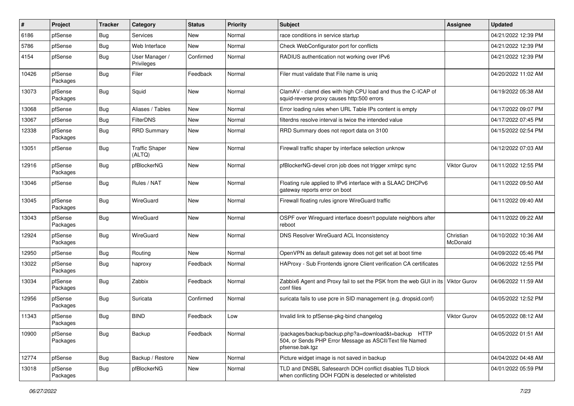| #     | Project             | <b>Tracker</b> | Category                        | <b>Status</b> | <b>Priority</b> | <b>Subject</b>                                                                                                                      | <b>Assignee</b>       | <b>Updated</b>      |
|-------|---------------------|----------------|---------------------------------|---------------|-----------------|-------------------------------------------------------------------------------------------------------------------------------------|-----------------------|---------------------|
| 6186  | pfSense             | Bug            | Services                        | New           | Normal          | race conditions in service startup                                                                                                  |                       | 04/21/2022 12:39 PM |
| 5786  | pfSense             | Bug            | Web Interface                   | New           | Normal          | Check WebConfigurator port for conflicts                                                                                            |                       | 04/21/2022 12:39 PM |
| 4154  | pfSense             | Bug            | User Manager /<br>Privileges    | Confirmed     | Normal          | RADIUS authentication not working over IPv6                                                                                         |                       | 04/21/2022 12:39 PM |
| 10426 | pfSense<br>Packages | Bug            | Filer                           | Feedback      | Normal          | Filer must validate that File name is uniq                                                                                          |                       | 04/20/2022 11:02 AM |
| 13073 | pfSense<br>Packages | Bug            | Squid                           | New           | Normal          | ClamAV - clamd dies with high CPU load and thus the C-ICAP of<br>squid-reverse proxy causes http:500 errors                         |                       | 04/19/2022 05:38 AM |
| 13068 | pfSense             | Bug            | Aliases / Tables                | New           | Normal          | Error loading rules when URL Table IPs content is empty                                                                             |                       | 04/17/2022 09:07 PM |
| 13067 | pfSense             | Bug            | <b>FilterDNS</b>                | New           | Normal          | filterdns resolve interval is twice the intended value                                                                              |                       | 04/17/2022 07:45 PM |
| 12338 | pfSense<br>Packages | Bug            | <b>RRD Summary</b>              | New           | Normal          | RRD Summary does not report data on 3100                                                                                            |                       | 04/15/2022 02:54 PM |
| 13051 | pfSense             | <b>Bug</b>     | <b>Traffic Shaper</b><br>(ALTQ) | <b>New</b>    | Normal          | Firewall traffic shaper by interface selection unknow                                                                               |                       | 04/12/2022 07:03 AM |
| 12916 | pfSense<br>Packages | Bug            | pfBlockerNG                     | New           | Normal          | pfBlockerNG-devel cron job does not trigger xmlrpc sync                                                                             | <b>Viktor Gurov</b>   | 04/11/2022 12:55 PM |
| 13046 | pfSense             | <b>Bug</b>     | Rules / NAT                     | New           | Normal          | Floating rule applied to IPv6 interface with a SLAAC DHCPv6<br>gateway reports error on boot                                        |                       | 04/11/2022 09:50 AM |
| 13045 | pfSense<br>Packages | <b>Bug</b>     | WireGuard                       | <b>New</b>    | Normal          | Firewall floating rules ignore WireGuard traffic                                                                                    |                       | 04/11/2022 09:40 AM |
| 13043 | pfSense<br>Packages | Bug            | WireGuard                       | New           | Normal          | OSPF over Wireguard interface doesn't populate neighbors after<br>reboot                                                            |                       | 04/11/2022 09:22 AM |
| 12924 | pfSense<br>Packages | Bug            | WireGuard                       | New           | Normal          | DNS Resolver WireGuard ACL Inconsistency                                                                                            | Christian<br>McDonald | 04/10/2022 10:36 AM |
| 12950 | pfSense             | Bug            | Routing                         | New           | Normal          | OpenVPN as default gateway does not get set at boot time                                                                            |                       | 04/09/2022 05:46 PM |
| 13022 | pfSense<br>Packages | Bug            | haproxy                         | Feedback      | Normal          | HAProxy - Sub Frontends ignore Client verification CA certificates                                                                  |                       | 04/06/2022 12:55 PM |
| 13034 | pfSense<br>Packages | Bug            | Zabbix                          | Feedback      | Normal          | Zabbix6 Agent and Proxy fail to set the PSK from the web GUI in its<br>conf files                                                   | Viktor Gurov          | 04/06/2022 11:59 AM |
| 12956 | pfSense<br>Packages | <b>Bug</b>     | Suricata                        | Confirmed     | Normal          | suricata fails to use pcre in SID management (e.g. dropsid.conf)                                                                    |                       | 04/05/2022 12:52 PM |
| 11343 | pfSense<br>Packages | Bug            | <b>BIND</b>                     | Feedback      | Low             | Invalid link to pfSense-pkg-bind changelog                                                                                          | <b>Viktor Gurov</b>   | 04/05/2022 08:12 AM |
| 10900 | pfSense<br>Packages | Bug            | Backup                          | Feedback      | Normal          | /packages/backup/backup.php?a=download&t=backup HTTP<br>504, or Sends PHP Error Message as ASCII/Text file Named<br>pfsense.bak.tgz |                       | 04/05/2022 01:51 AM |
| 12774 | pfSense             | Bug            | Backup / Restore                | <b>New</b>    | Normal          | Picture widget image is not saved in backup                                                                                         |                       | 04/04/2022 04:48 AM |
| 13018 | pfSense<br>Packages | <b>Bug</b>     | pfBlockerNG                     | New           | Normal          | TLD and DNSBL Safesearch DOH conflict disables TLD block<br>when conflicting DOH FQDN is deselected or whitelisted                  |                       | 04/01/2022 05:59 PM |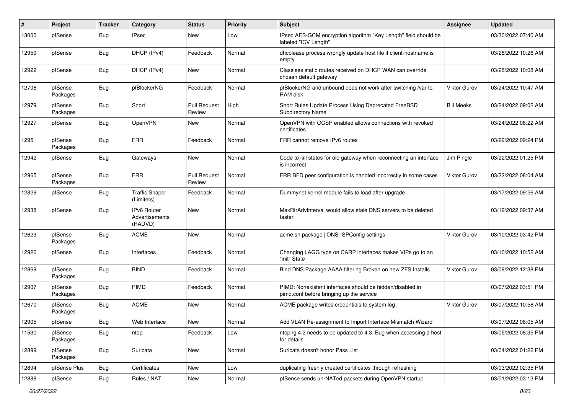| #     | Project             | <b>Tracker</b> | Category                                        | <b>Status</b>                 | <b>Priority</b> | <b>Subject</b>                                                                                        | <b>Assignee</b>     | <b>Updated</b>      |
|-------|---------------------|----------------|-------------------------------------------------|-------------------------------|-----------------|-------------------------------------------------------------------------------------------------------|---------------------|---------------------|
| 13000 | pfSense             | Bug            | IPsec                                           | New                           | Low             | IPsec AES-GCM encryption algorithm "Key Length" field should be<br>labeled "ICV Length"               |                     | 03/30/2022 07:40 AM |
| 12959 | pfSense             | Bug            | DHCP (IPv4)                                     | Feedback                      | Normal          | dhcplease process wrongly update host file if client-hostname is<br>empty                             |                     | 03/28/2022 10:26 AM |
| 12922 | pfSense             | Bug            | DHCP (IPv4)                                     | <b>New</b>                    | Normal          | Classless static routes received on DHCP WAN can override<br>chosen default gateway                   |                     | 03/28/2022 10:08 AM |
| 12706 | pfSense<br>Packages | Bug            | pfBlockerNG                                     | Feedback                      | Normal          | pfBlockerNG and unbound does not work after switching /var to<br>RAM disk                             | <b>Viktor Gurov</b> | 03/24/2022 10:47 AM |
| 12979 | pfSense<br>Packages | Bug            | Snort                                           | <b>Pull Request</b><br>Review | High            | Snort Rules Update Process Using Deprecated FreeBSD<br><b>Subdirectory Name</b>                       | <b>Bill Meeks</b>   | 03/24/2022 09:02 AM |
| 12927 | pfSense             | Bug            | OpenVPN                                         | New                           | Normal          | OpenVPN with OCSP enabled allows connections with revoked<br>certificates                             |                     | 03/24/2022 08:22 AM |
| 12951 | pfSense<br>Packages | Bug            | <b>FRR</b>                                      | Feedback                      | Normal          | FRR cannot remove IPv6 routes                                                                         |                     | 03/22/2022 09:24 PM |
| 12942 | pfSense             | Bug            | Gateways                                        | New                           | Normal          | Code to kill states for old gateway when reconnecting an interface<br>is incorrect                    | Jim Pingle          | 03/22/2022 01:25 PM |
| 12965 | pfSense<br>Packages | Bug            | <b>FRR</b>                                      | <b>Pull Request</b><br>Review | Normal          | FRR BFD peer configuration is handled incorrectly in some cases                                       | Viktor Gurov        | 03/22/2022 08:04 AM |
| 12829 | pfSense             | <b>Bug</b>     | <b>Traffic Shaper</b><br>(Limiters)             | Feedback                      | Normal          | Dummynet kernel module fails to load after upgrade.                                                   |                     | 03/17/2022 09:26 AM |
| 12938 | pfSense             | Bug            | <b>IPv6 Router</b><br>Advertisements<br>(RADVD) | New                           | Normal          | MaxRtrAdvInterval would allow stale DNS servers to be deleted<br>faster                               |                     | 03/12/2022 09:37 AM |
| 12623 | pfSense<br>Packages | Bug            | <b>ACME</b>                                     | <b>New</b>                    | Normal          | acme.sh package   DNS-ISPConfig settings                                                              | Viktor Gurov        | 03/10/2022 03:42 PM |
| 12926 | pfSense             | Bug            | Interfaces                                      | Feedback                      | Normal          | Changing LAGG type on CARP interfaces makes VIPs go to an<br>"init" State                             |                     | 03/10/2022 10:52 AM |
| 12869 | pfSense<br>Packages | Bug            | <b>BIND</b>                                     | Feedback                      | Normal          | Bind DNS Package AAAA filtering Broken on new ZFS Installs                                            | Viktor Gurov        | 03/09/2022 12:38 PM |
| 12907 | pfSense<br>Packages | <b>Bug</b>     | <b>PIMD</b>                                     | Feedback                      | Normal          | PIMD: Nonexistent interfaces should be hidden/disabled in<br>pimd.conf before bringing up the service |                     | 03/07/2022 03:51 PM |
| 12670 | pfSense<br>Packages | Bug            | <b>ACME</b>                                     | New                           | Normal          | ACME package writes credentials to system log                                                         | Viktor Gurov        | 03/07/2022 10:58 AM |
| 12905 | pfSense             | Bug            | Web Interface                                   | New                           | Normal          | Add VLAN Re-assignment to Import Interface Mismatch Wizard                                            |                     | 03/07/2022 08:05 AM |
| 11530 | pfSense<br>Packages | <b>Bug</b>     | ntop                                            | Feedback                      | Low             | ntopng 4.2 needs to be updated to 4.3, Bug when accessing a host<br>for details                       |                     | 03/05/2022 08:35 PM |
| 12899 | pfSense<br>Packages | <b>Bug</b>     | Suricata                                        | New                           | Normal          | Suricata doesn't honor Pass List                                                                      |                     | 03/04/2022 01:22 PM |
| 12894 | pfSense Plus        | Bug            | Certificates                                    | New                           | Low             | duplicating freshly created certificates through refreshing                                           |                     | 03/03/2022 02:35 PM |
| 12888 | pfSense             | Bug            | Rules / NAT                                     | New                           | Normal          | pfSense sends un-NATed packets during OpenVPN startup                                                 |                     | 03/01/2022 03:13 PM |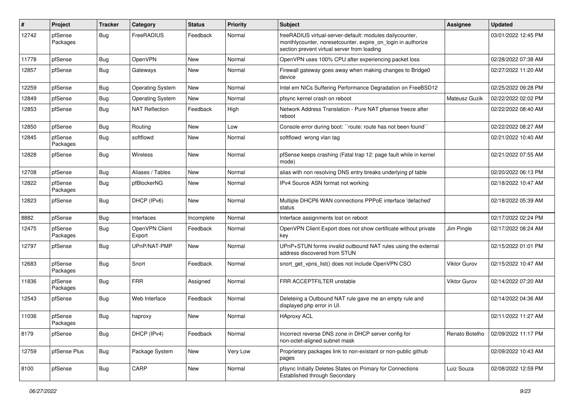| #     | Project             | <b>Tracker</b> | Category                 | <b>Status</b> | <b>Priority</b> | <b>Subject</b>                                                                                                                                                          | Assignee            | <b>Updated</b>      |
|-------|---------------------|----------------|--------------------------|---------------|-----------------|-------------------------------------------------------------------------------------------------------------------------------------------------------------------------|---------------------|---------------------|
| 12742 | pfSense<br>Packages | Bug            | FreeRADIUS               | Feedback      | Normal          | freeRADIUS virtual-server-default: modules dailycounter,<br>monthlycounter, noresetcounter, expire_on_login in authorize<br>section prevent virtual server from loading |                     | 03/01/2022 12:45 PM |
| 11778 | pfSense             | Bug            | OpenVPN                  | New           | Normal          | OpenVPN uses 100% CPU after experiencing packet loss                                                                                                                    |                     | 02/28/2022 07:38 AM |
| 12857 | pfSense             | Bug            | Gateways                 | New           | Normal          | Firewall gateway goes away when making changes to Bridge0<br>device                                                                                                     |                     | 02/27/2022 11:20 AM |
| 12259 | pfSense             | <b>Bug</b>     | <b>Operating System</b>  | New           | Normal          | Intel em NICs Suffering Performance Degradation on FreeBSD12                                                                                                            |                     | 02/25/2022 09:28 PM |
| 12849 | pfSense             | Bug            | <b>Operating System</b>  | New           | Normal          | pfsync kernel crash on reboot                                                                                                                                           | Mateusz Guzik       | 02/22/2022 02:02 PM |
| 12853 | pfSense             | Bug            | <b>NAT Reflection</b>    | Feedback      | High            | Network Address Translation - Pure NAT pfsense freeze after<br>reboot                                                                                                   |                     | 02/22/2022 08:40 AM |
| 12850 | pfSense             | Bug            | Routing                  | New           | Low             | Console error during boot: "route: route has not been found"                                                                                                            |                     | 02/22/2022 08:27 AM |
| 12845 | pfSense<br>Packages | Bug            | softflowd                | New           | Normal          | softflowd wrong vlan tag                                                                                                                                                |                     | 02/21/2022 10:40 AM |
| 12828 | pfSense             | Bug            | Wireless                 | New           | Normal          | pfSense keeps crashing (Fatal trap 12: page fault while in kernel<br>mode)                                                                                              |                     | 02/21/2022 07:55 AM |
| 12708 | pfSense             | <b>Bug</b>     | Aliases / Tables         | <b>New</b>    | Normal          | alias with non resolving DNS entry breaks underlying pf table                                                                                                           |                     | 02/20/2022 06:13 PM |
| 12822 | pfSense<br>Packages | Bug            | pfBlockerNG              | New           | Normal          | IPv4 Source ASN format not working                                                                                                                                      |                     | 02/18/2022 10:47 AM |
| 12823 | pfSense             | <b>Bug</b>     | DHCP (IPv6)              | <b>New</b>    | Normal          | Multiple DHCP6 WAN connections PPPoE interface 'defached'<br>status                                                                                                     |                     | 02/18/2022 05:39 AM |
| 8882  | pfSense             | Bug            | Interfaces               | Incomplete    | Normal          | Interface assignments lost on reboot                                                                                                                                    |                     | 02/17/2022 02:24 PM |
| 12475 | pfSense<br>Packages | Bug            | OpenVPN Client<br>Export | Feedback      | Normal          | OpenVPN Client Export does not show certificate without private<br>key                                                                                                  | Jim Pingle          | 02/17/2022 08:24 AM |
| 12797 | pfSense             | Bug            | UPnP/NAT-PMP             | <b>New</b>    | Normal          | UPnP+STUN forms invalid outbound NAT rules using the external<br>address discovered from STUN                                                                           |                     | 02/15/2022 01:01 PM |
| 12683 | pfSense<br>Packages | Bug            | Snort                    | Feedback      | Normal          | snort_get_vpns_list() does not include OpenVPN CSO                                                                                                                      | <b>Viktor Gurov</b> | 02/15/2022 10:47 AM |
| 11836 | pfSense<br>Packages | Bug            | <b>FRR</b>               | Assigned      | Normal          | FRR ACCEPTFILTER unstable                                                                                                                                               | Viktor Gurov        | 02/14/2022 07:20 AM |
| 12543 | pfSense             | Bug            | Web Interface            | Feedback      | Normal          | Deleteing a Outbound NAT rule gave me an empty rule and<br>displayed php error in UI.                                                                                   |                     | 02/14/2022 04:36 AM |
| 11036 | pfSense<br>Packages | Bug            | haproxy                  | New           | Normal          | <b>HAproxy ACL</b>                                                                                                                                                      |                     | 02/11/2022 11:27 AM |
| 8179  | pfSense             | Bug            | DHCP (IPv4)              | Feedback      | Normal          | Incorrect reverse DNS zone in DHCP server config for<br>non-octet-aligned subnet mask                                                                                   | Renato Botelho      | 02/09/2022 11:17 PM |
| 12759 | pfSense Plus        | Bug            | Package System           | New           | Very Low        | Proprietary packages link to non-existant or non-public github<br>pages                                                                                                 |                     | 02/09/2022 10:43 AM |
| 8100  | pfSense             | <b>Bug</b>     | CARP                     | New           | Normal          | pfsync Initially Deletes States on Primary for Connections<br><b>Established through Secondary</b>                                                                      | Luiz Souza          | 02/08/2022 12:59 PM |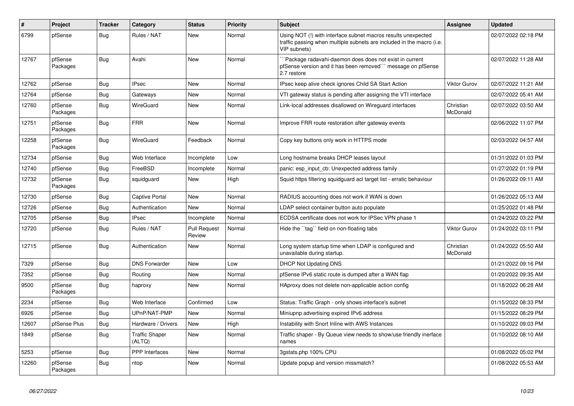| $\vert$ # | Project             | <b>Tracker</b> | Category                        | <b>Status</b>                 | Priority | <b>Subject</b>                                                                                                                                         | <b>Assignee</b>       | <b>Updated</b>      |
|-----------|---------------------|----------------|---------------------------------|-------------------------------|----------|--------------------------------------------------------------------------------------------------------------------------------------------------------|-----------------------|---------------------|
| 6799      | pfSense             | <b>Bug</b>     | Rules / NAT                     | New                           | Normal   | Using NOT (!) with interface subnet macros results unexpected<br>traffic passing when multiple subnets are included in the macro (i.e.<br>VIP subnets) |                       | 02/07/2022 02:18 PM |
| 12767     | pfSense<br>Packages | <b>Bug</b>     | Avahi                           | New                           | Normal   | Package radavahi-daemon does does not exist in current<br>pfSense version and it has been removed``` message on pfSense<br>2.7 restore                 |                       | 02/07/2022 11:28 AM |
| 12762     | pfSense             | Bug            | <b>IPsec</b>                    | New                           | Normal   | IPsec keep alive check ignores Child SA Start Action                                                                                                   | <b>Viktor Gurov</b>   | 02/07/2022 11:21 AM |
| 12764     | pfSense             | Bug            | Gateways                        | New                           | Normal   | VTI gateway status is pending after assigning the VTI interface                                                                                        |                       | 02/07/2022 05:41 AM |
| 12760     | pfSense<br>Packages | Bug            | WireGuard                       | New                           | Normal   | Link-local addresses disallowed on Wireguard interfaces                                                                                                | Christian<br>McDonald | 02/07/2022 03:50 AM |
| 12751     | pfSense<br>Packages | <b>Bug</b>     | <b>FRR</b>                      | <b>New</b>                    | Normal   | Improve FRR route restoration after gateway events                                                                                                     |                       | 02/06/2022 11:07 PM |
| 12258     | pfSense<br>Packages | Bug            | WireGuard                       | Feedback                      | Normal   | Copy key buttons only work in HTTPS mode                                                                                                               |                       | 02/03/2022 04:57 AM |
| 12734     | pfSense             | <b>Bug</b>     | Web Interface                   | Incomplete                    | Low      | Long hostname breaks DHCP leases layout                                                                                                                |                       | 01/31/2022 01:03 PM |
| 12740     | pfSense             | <b>Bug</b>     | FreeBSD                         | Incomplete                    | Normal   | panic: esp input cb: Unexpected address family                                                                                                         |                       | 01/27/2022 01:19 PM |
| 12732     | pfSense<br>Packages | <b>Bug</b>     | squidguard                      | New                           | High     | Squid https filtering squidguard acl target list - erratic behaviour                                                                                   |                       | 01/26/2022 09:11 AM |
| 12730     | pfSense             | <b>Bug</b>     | Captive Portal                  | New                           | Normal   | RADIUS accounting does not work if WAN is down                                                                                                         |                       | 01/26/2022 05:13 AM |
| 12726     | pfSense             | <b>Bug</b>     | Authentication                  | New                           | Normal   | LDAP select container button auto populate                                                                                                             |                       | 01/25/2022 01:48 PM |
| 12705     | pfSense             | <b>Bug</b>     | <b>IPsec</b>                    | Incomplete                    | Normal   | ECDSA certificate does not work for IPSec VPN phase 1                                                                                                  |                       | 01/24/2022 03:22 PM |
| 12720     | pfSense             | Bug            | Rules / NAT                     | <b>Pull Request</b><br>Review | Normal   | Hide the "tag" field on non-floating tabs                                                                                                              | <b>Viktor Gurov</b>   | 01/24/2022 03:11 PM |
| 12715     | pfSense             | <b>Bug</b>     | Authentication                  | <b>New</b>                    | Normal   | Long system startup time when LDAP is configured and<br>unavailable during startup.                                                                    | Christian<br>McDonald | 01/24/2022 05:50 AM |
| 7329      | pfSense             | <b>Bug</b>     | <b>DNS Forwarder</b>            | New                           | Low      | <b>DHCP Not Updating DNS</b>                                                                                                                           |                       | 01/21/2022 09:16 PM |
| 7352      | pfSense             | Bug            | Routing                         | New                           | Normal   | pfSense IPv6 static route is dumped after a WAN flap                                                                                                   |                       | 01/20/2022 09:35 AM |
| 9500      | pfSense<br>Packages | Bug            | haproxy                         | New                           | Normal   | HAproxy does not delete non-applicable action config                                                                                                   |                       | 01/18/2022 06:28 AM |
| 2234      | pfSense             | Bug            | Web Interface                   | Confirmed                     | Low      | Status: Traffic Graph - only shows interface's subnet                                                                                                  |                       | 01/15/2022 08:33 PM |
| 6926      | pfSense             | <b>Bug</b>     | UPnP/NAT-PMP                    | <b>New</b>                    | Normal   | Miniupnp advertising expired IPv6 address                                                                                                              |                       | 01/15/2022 08:29 PM |
| 12607     | pfSense Plus        | Bug            | Hardware / Drivers              | New                           | High     | Instability with Snort Inline with AWS Instances                                                                                                       |                       | 01/10/2022 09:03 PM |
| 1849      | pfSense             | <b>Bug</b>     | <b>Traffic Shaper</b><br>(ALTQ) | New                           | Normal   | Traffic shaper - By Queue view needs to show/use friendly inerface<br>names                                                                            |                       | 01/10/2022 08:10 AM |
| 5253      | pfSense             | Bug            | <b>PPP</b> Interfaces           | New                           | Normal   | 3gstats.php 100% CPU                                                                                                                                   |                       | 01/08/2022 05:02 PM |
| 12260     | pfSense<br>Packages | <b>Bug</b>     | ntop                            | <b>New</b>                    | Normal   | Update popup and version missmatch?                                                                                                                    |                       | 01/08/2022 05:53 AM |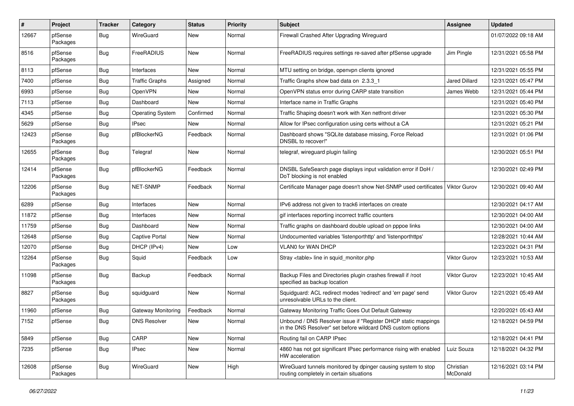| $\pmb{\#}$ | Project             | Tracker    | Category                | <b>Status</b> | <b>Priority</b> | <b>Subject</b>                                                                                                                | <b>Assignee</b>       | <b>Updated</b>      |
|------------|---------------------|------------|-------------------------|---------------|-----------------|-------------------------------------------------------------------------------------------------------------------------------|-----------------------|---------------------|
| 12667      | pfSense<br>Packages | Bug        | WireGuard               | New           | Normal          | Firewall Crashed After Upgrading Wireguard                                                                                    |                       | 01/07/2022 09:18 AM |
| 8516       | pfSense<br>Packages | Bug        | FreeRADIUS              | New           | Normal          | FreeRADIUS requires settings re-saved after pfSense upgrade                                                                   | Jim Pingle            | 12/31/2021 05:58 PM |
| 8113       | pfSense             | <b>Bug</b> | Interfaces              | New           | Normal          | MTU setting on bridge, openypn clients ignored                                                                                |                       | 12/31/2021 05:55 PM |
| 7400       | pfSense             | <b>Bug</b> | <b>Traffic Graphs</b>   | Assigned      | Normal          | Traffic Graphs show bad data on 2.3.3 1                                                                                       | Jared Dillard         | 12/31/2021 05:47 PM |
| 6993       | pfSense             | Bug        | OpenVPN                 | New           | Normal          | OpenVPN status error during CARP state transition                                                                             | James Webb            | 12/31/2021 05:44 PM |
| 7113       | pfSense             | Bug        | Dashboard               | New           | Normal          | Interface name in Traffic Graphs                                                                                              |                       | 12/31/2021 05:40 PM |
| 4345       | pfSense             | Bug        | <b>Operating System</b> | Confirmed     | Normal          | Traffic Shaping doesn't work with Xen netfront driver                                                                         |                       | 12/31/2021 05:30 PM |
| 5629       | pfSense             | <b>Bug</b> | <b>IPsec</b>            | New           | Normal          | Allow for IPsec configuration using certs without a CA                                                                        |                       | 12/31/2021 05:21 PM |
| 12423      | pfSense<br>Packages | Bug        | pfBlockerNG             | Feedback      | Normal          | Dashboard shows "SQLite database missing, Force Reload<br>DNSBL to recover!"                                                  |                       | 12/31/2021 01:06 PM |
| 12655      | pfSense<br>Packages | <b>Bug</b> | Telegraf                | New           | Normal          | telegraf, wireguard plugin failing                                                                                            |                       | 12/30/2021 05:51 PM |
| 12414      | pfSense<br>Packages | Bug        | pfBlockerNG             | Feedback      | Normal          | DNSBL SafeSearch page displays input validation error if DoH /<br>DoT blocking is not enabled                                 |                       | 12/30/2021 02:49 PM |
| 12206      | pfSense<br>Packages | Bug        | <b>NET-SNMP</b>         | Feedback      | Normal          | Certificate Manager page doesn't show Net-SNMP used certificates                                                              | Viktor Gurov          | 12/30/2021 09:40 AM |
| 6289       | pfSense             | Bug        | Interfaces              | New           | Normal          | IPv6 address not given to track6 interfaces on create                                                                         |                       | 12/30/2021 04:17 AM |
| 11872      | pfSense             | Bug        | Interfaces              | New           | Normal          | gif interfaces reporting incorrect traffic counters                                                                           |                       | 12/30/2021 04:00 AM |
| 11759      | pfSense             | Bug        | Dashboard               | New           | Normal          | Traffic graphs on dashboard double upload on pppoe links                                                                      |                       | 12/30/2021 04:00 AM |
| 12648      | pfSense             | Bug        | Captive Portal          | New           | Normal          | Undocumented variables 'listenporthttp' and 'listenporthttps'                                                                 |                       | 12/28/2021 10:44 AM |
| 12070      | pfSense             | Bug        | DHCP (IPv4)             | New           | Low             | <b>VLAN0 for WAN DHCP</b>                                                                                                     |                       | 12/23/2021 04:31 PM |
| 12264      | pfSense<br>Packages | Bug        | Squid                   | Feedback      | Low             | Stray <table> line in squid_monitor.php</table>                                                                               | Viktor Gurov          | 12/23/2021 10:53 AM |
| 11098      | pfSense<br>Packages | Bug        | Backup                  | Feedback      | Normal          | Backup Files and Directories plugin crashes firewall if /root<br>specified as backup location                                 | Viktor Gurov          | 12/23/2021 10:45 AM |
| 8827       | pfSense<br>Packages | Bug        | squidguard              | New           | Normal          | Squidguard: ACL redirect modes 'redirect' and 'err page' send<br>unresolvable URLs to the client.                             | Viktor Gurov          | 12/21/2021 05:49 AM |
| 11960      | pfSense             | Bug        | Gateway Monitoring      | Feedback      | Normal          | Gateway Monitoring Traffic Goes Out Default Gateway                                                                           |                       | 12/20/2021 05:43 AM |
| 7152       | pfSense             | Bug        | <b>DNS Resolver</b>     | New           | Normal          | Unbound / DNS Resolver issue if "Register DHCP static mappings<br>in the DNS Resolver" set before wildcard DNS custom options |                       | 12/18/2021 04:59 PM |
| 5849       | pfSense             | <b>Bug</b> | CARP                    | New           | Normal          | Routing fail on CARP IPsec                                                                                                    |                       | 12/18/2021 04:41 PM |
| 7235       | pfSense             | Bug        | <b>IPsec</b>            | New           | Normal          | 4860 has not got significant IPsec performance rising with enabled<br>HW acceleration                                         | Luiz Souza            | 12/18/2021 04:32 PM |
| 12608      | pfSense<br>Packages | Bug        | WireGuard               | New           | High            | WireGuard tunnels monitored by dpinger causing system to stop<br>routing completely in certain situations                     | Christian<br>McDonald | 12/16/2021 03:14 PM |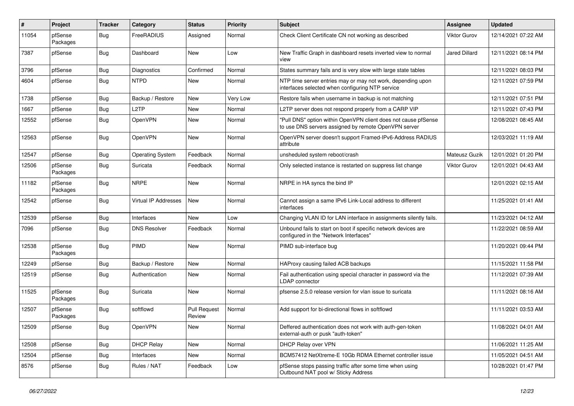| #     | Project             | <b>Tracker</b> | Category                    | <b>Status</b>                 | <b>Priority</b> | <b>Subject</b>                                                                                                         | <b>Assignee</b>     | <b>Updated</b>      |
|-------|---------------------|----------------|-----------------------------|-------------------------------|-----------------|------------------------------------------------------------------------------------------------------------------------|---------------------|---------------------|
| 11054 | pfSense<br>Packages | Bug            | FreeRADIUS                  | Assigned                      | Normal          | Check Client Certificate CN not working as described                                                                   | <b>Viktor Gurov</b> | 12/14/2021 07:22 AM |
| 7387  | pfSense             | Bug            | Dashboard                   | New                           | Low             | New Traffic Graph in dashboard resets inverted view to normal<br>view                                                  | Jared Dillard       | 12/11/2021 08:14 PM |
| 3796  | pfSense             | Bug            | Diagnostics                 | Confirmed                     | Normal          | States summary fails and is very slow with large state tables                                                          |                     | 12/11/2021 08:03 PM |
| 4604  | pfSense             | Bug            | <b>NTPD</b>                 | New                           | Normal          | NTP time server entries may or may not work, depending upon<br>interfaces selected when configuring NTP service        |                     | 12/11/2021 07:59 PM |
| 1738  | pfSense             | Bug            | Backup / Restore            | New                           | Very Low        | Restore fails when username in backup is not matching                                                                  |                     | 12/11/2021 07:51 PM |
| 1667  | pfSense             | Bug            | L2TP                        | New                           | Normal          | L2TP server does not respond properly from a CARP VIP                                                                  |                     | 12/11/2021 07:43 PM |
| 12552 | pfSense             | Bug            | OpenVPN                     | New                           | Normal          | "Pull DNS" option within OpenVPN client does not cause pfSense<br>to use DNS servers assigned by remote OpenVPN server |                     | 12/08/2021 08:45 AM |
| 12563 | pfSense             | Bug            | OpenVPN                     | New                           | Normal          | OpenVPN server doesn't support Framed-IPv6-Address RADIUS<br>attribute                                                 |                     | 12/03/2021 11:19 AM |
| 12547 | pfSense             | Bug            | <b>Operating System</b>     | Feedback                      | Normal          | unsheduled system reboot/crash                                                                                         | Mateusz Guzik       | 12/01/2021 01:20 PM |
| 12506 | pfSense<br>Packages | Bug            | Suricata                    | Feedback                      | Normal          | Only selected instance is restarted on suppress list change                                                            | <b>Viktor Gurov</b> | 12/01/2021 04:43 AM |
| 11182 | pfSense<br>Packages | Bug            | <b>NRPE</b>                 | New                           | Normal          | NRPE in HA syncs the bind IP                                                                                           |                     | 12/01/2021 02:15 AM |
| 12542 | pfSense             | <b>Bug</b>     | <b>Virtual IP Addresses</b> | New                           | Normal          | Cannot assign a same IPv6 Link-Local address to different<br>interfaces                                                |                     | 11/25/2021 01:41 AM |
| 12539 | pfSense             | Bug            | Interfaces                  | <b>New</b>                    | Low             | Changing VLAN ID for LAN interface in assignments silently fails.                                                      |                     | 11/23/2021 04:12 AM |
| 7096  | pfSense             | Bug            | <b>DNS Resolver</b>         | Feedback                      | Normal          | Unbound fails to start on boot if specific network devices are<br>configured in the "Network Interfaces"               |                     | 11/22/2021 08:59 AM |
| 12538 | pfSense<br>Packages | Bug            | PIMD                        | <b>New</b>                    | Normal          | PIMD sub-interface bug                                                                                                 |                     | 11/20/2021 09:44 PM |
| 12249 | pfSense             | Bug            | Backup / Restore            | New                           | Normal          | HAProxy causing failed ACB backups                                                                                     |                     | 11/15/2021 11:58 PM |
| 12519 | pfSense             | Bug            | Authentication              | New                           | Normal          | Fail authentication using special character in password via the<br><b>LDAP</b> connector                               |                     | 11/12/2021 07:39 AM |
| 11525 | pfSense<br>Packages | Bug            | Suricata                    | New                           | Normal          | pfsense 2.5.0 release version for vlan issue to suricata                                                               |                     | 11/11/2021 08:16 AM |
| 12507 | pfSense<br>Packages | Bug            | softflowd                   | <b>Pull Request</b><br>Review | Normal          | Add support for bi-directional flows in softflowd                                                                      |                     | 11/11/2021 03:53 AM |
| 12509 | pfSense             | <b>Bug</b>     | OpenVPN                     | New                           | Normal          | Deffered authentication does not work with auth-gen-token<br>external-auth or pusk "auth-token"                        |                     | 11/08/2021 04:01 AM |
| 12508 | pfSense             | <b>Bug</b>     | <b>DHCP Relay</b>           | New                           | Normal          | DHCP Relay over VPN                                                                                                    |                     | 11/06/2021 11:25 AM |
| 12504 | pfSense             | Bug            | Interfaces                  | New                           | Normal          | BCM57412 NetXtreme-E 10Gb RDMA Ethernet controller issue                                                               |                     | 11/05/2021 04:51 AM |
| 8576  | pfSense             | <b>Bug</b>     | Rules / NAT                 | Feedback                      | Low             | pfSense stops passing traffic after some time when using<br>Outbound NAT pool w/ Sticky Address                        |                     | 10/28/2021 01:47 PM |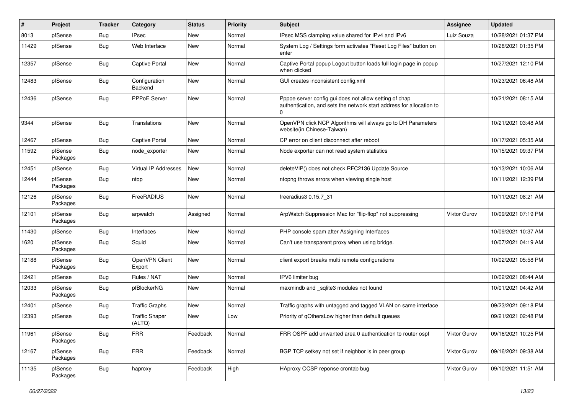| #     | Project             | <b>Tracker</b> | Category                        | <b>Status</b> | Priority | <b>Subject</b>                                                                                                                 | <b>Assignee</b> | <b>Updated</b>      |
|-------|---------------------|----------------|---------------------------------|---------------|----------|--------------------------------------------------------------------------------------------------------------------------------|-----------------|---------------------|
| 8013  | pfSense             | Bug            | <b>IPsec</b>                    | New           | Normal   | IPsec MSS clamping value shared for IPv4 and IPv6                                                                              | Luiz Souza      | 10/28/2021 01:37 PM |
| 11429 | pfSense             | Bug            | Web Interface                   | New           | Normal   | System Log / Settings form activates "Reset Log Files" button on<br>enter                                                      |                 | 10/28/2021 01:35 PM |
| 12357 | pfSense             | <b>Bug</b>     | Captive Portal                  | <b>New</b>    | Normal   | Captive Portal popup Logout button loads full login page in popup<br>when clicked                                              |                 | 10/27/2021 12:10 PM |
| 12483 | pfSense             | <b>Bug</b>     | Configuration<br>Backend        | New           | Normal   | GUI creates inconsistent config.xml                                                                                            |                 | 10/23/2021 06:48 AM |
| 12436 | pfSense             | <b>Bug</b>     | PPPoE Server                    | <b>New</b>    | Normal   | Pppoe server config gui does not allow setting of chap<br>authentication, and sets the network start address for allocation to |                 | 10/21/2021 08:15 AM |
| 9344  | pfSense             | <b>Bug</b>     | Translations                    | <b>New</b>    | Normal   | OpenVPN click NCP Algorithms will always go to DH Parameters<br>website(in Chinese-Taiwan)                                     |                 | 10/21/2021 03:48 AM |
| 12467 | pfSense             | <b>Bug</b>     | <b>Captive Portal</b>           | New           | Normal   | CP error on client disconnect after reboot                                                                                     |                 | 10/17/2021 05:35 AM |
| 11592 | pfSense<br>Packages | <b>Bug</b>     | node exporter                   | New           | Normal   | Node exporter can not read system statistics                                                                                   |                 | 10/15/2021 09:37 PM |
| 12451 | pfSense             | <b>Bug</b>     | Virtual IP Addresses            | <b>New</b>    | Normal   | deleteVIP() does not check RFC2136 Update Source                                                                               |                 | 10/13/2021 10:06 AM |
| 12444 | pfSense<br>Packages | <b>Bug</b>     | ntop                            | New           | Normal   | ntopng throws errors when viewing single host                                                                                  |                 | 10/11/2021 12:39 PM |
| 12126 | pfSense<br>Packages | Bug            | FreeRADIUS                      | <b>New</b>    | Normal   | freeradius3 0.15.7 31                                                                                                          |                 | 10/11/2021 08:21 AM |
| 12101 | pfSense<br>Packages | <b>Bug</b>     | arpwatch                        | Assigned      | Normal   | ArpWatch Suppression Mac for "flip-flop" not suppressing                                                                       | Viktor Gurov    | 10/09/2021 07:19 PM |
| 11430 | pfSense             | <b>Bug</b>     | Interfaces                      | New           | Normal   | PHP console spam after Assigning Interfaces                                                                                    |                 | 10/09/2021 10:37 AM |
| 1620  | pfSense<br>Packages | <b>Bug</b>     | Squid                           | New           | Normal   | Can't use transparent proxy when using bridge.                                                                                 |                 | 10/07/2021 04:19 AM |
| 12188 | pfSense<br>Packages | <b>Bug</b>     | OpenVPN Client<br>Export        | <b>New</b>    | Normal   | client export breaks multi remote configurations                                                                               |                 | 10/02/2021 05:58 PM |
| 12421 | pfSense             | Bug            | Rules / NAT                     | New           | Normal   | IPV6 limiter bug                                                                                                               |                 | 10/02/2021 08:44 AM |
| 12033 | pfSense<br>Packages | <b>Bug</b>     | pfBlockerNG                     | New           | Normal   | maxmindb and _sqlite3 modules not found                                                                                        |                 | 10/01/2021 04:42 AM |
| 12401 | pfSense             | <b>Bug</b>     | <b>Traffic Graphs</b>           | New           | Normal   | Traffic graphs with untagged and tagged VLAN on same interface                                                                 |                 | 09/23/2021 09:18 PM |
| 12393 | pfSense             | <b>Bug</b>     | <b>Traffic Shaper</b><br>(ALTQ) | New           | Low      | Priority of qOthersLow higher than default queues                                                                              |                 | 09/21/2021 02:48 PM |
| 11961 | pfSense<br>Packages | Bug            | <b>FRR</b>                      | Feedback      | Normal   | FRR OSPF add unwanted area 0 authentication to router ospf                                                                     | Viktor Gurov    | 09/16/2021 10:25 PM |
| 12167 | pfSense<br>Packages | Bug            | <b>FRR</b>                      | Feedback      | Normal   | BGP TCP setkey not set if neighbor is in peer group                                                                            | Viktor Gurov    | 09/16/2021 09:38 AM |
| 11135 | pfSense<br>Packages | Bug            | haproxy                         | Feedback      | High     | HAproxy OCSP reponse crontab bug                                                                                               | Viktor Gurov    | 09/10/2021 11:51 AM |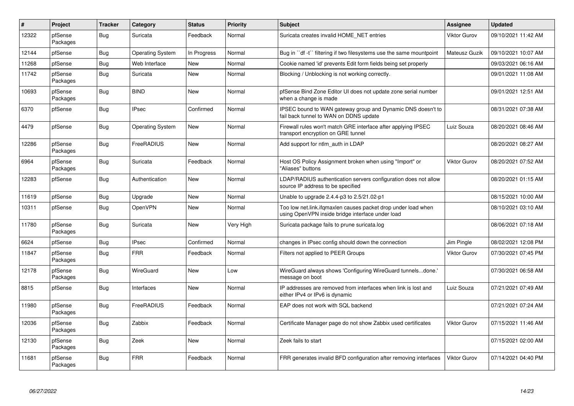| $\vert$ # | <b>Project</b>      | <b>Tracker</b> | Category                | <b>Status</b> | <b>Priority</b> | <b>Subject</b>                                                                                                    | <b>Assignee</b>     | <b>Updated</b>      |
|-----------|---------------------|----------------|-------------------------|---------------|-----------------|-------------------------------------------------------------------------------------------------------------------|---------------------|---------------------|
| 12322     | pfSense<br>Packages | Bug            | Suricata                | Feedback      | Normal          | Suricata creates invalid HOME NET entries                                                                         | <b>Viktor Gurov</b> | 09/10/2021 11:42 AM |
| 12144     | pfSense             | Bug            | <b>Operating System</b> | In Progress   | Normal          | Bug in ``df -t`` filtering if two filesystems use the same mountpoint                                             | Mateusz Guzik       | 09/10/2021 10:07 AM |
| 11268     | pfSense             | Bug            | Web Interface           | New           | Normal          | Cookie named 'id' prevents Edit form fields being set properly                                                    |                     | 09/03/2021 06:16 AM |
| 11742     | pfSense<br>Packages | <b>Bug</b>     | Suricata                | New           | Normal          | Blocking / Unblocking is not working correctly.                                                                   |                     | 09/01/2021 11:08 AM |
| 10693     | pfSense<br>Packages | <b>Bug</b>     | <b>BIND</b>             | <b>New</b>    | Normal          | pfSense Bind Zone Editor UI does not update zone serial number<br>when a change is made                           |                     | 09/01/2021 12:51 AM |
| 6370      | pfSense             | <b>Bug</b>     | <b>IPsec</b>            | Confirmed     | Normal          | IPSEC bound to WAN gateway group and Dynamic DNS doesn't to<br>fail back tunnel to WAN on DDNS update             |                     | 08/31/2021 07:38 AM |
| 4479      | pfSense             | Bug            | <b>Operating System</b> | New           | Normal          | Firewall rules won't match GRE interface after applying IPSEC<br>transport encryption on GRE tunnel               | Luiz Souza          | 08/20/2021 08:46 AM |
| 12286     | pfSense<br>Packages | Bug            | FreeRADIUS              | New           | Normal          | Add support for ntlm auth in LDAP                                                                                 |                     | 08/20/2021 08:27 AM |
| 6964      | pfSense<br>Packages | <b>Bug</b>     | Suricata                | Feedback      | Normal          | Host OS Policy Assignment broken when using "Import" or<br>"Aliases" buttons                                      | Viktor Gurov        | 08/20/2021 07:52 AM |
| 12283     | pfSense             | <b>Bug</b>     | Authentication          | New           | Normal          | LDAP/RADIUS authentication servers configuration does not allow<br>source IP address to be specified              |                     | 08/20/2021 01:15 AM |
| 11619     | pfSense             | Bug            | Upgrade                 | New           | Normal          | Unable to upgrade 2.4.4-p3 to 2.5/21.02-p1                                                                        |                     | 08/15/2021 10:00 AM |
| 10311     | pfSense             | Bug            | OpenVPN                 | New           | Normal          | Too low net.link.ifqmaxlen causes packet drop under load when<br>using OpenVPN inside bridge interface under load |                     | 08/10/2021 03:10 AM |
| 11780     | pfSense<br>Packages | <b>Bug</b>     | Suricata                | New           | Very High       | Suricata package fails to prune suricata.log                                                                      |                     | 08/06/2021 07:18 AM |
| 6624      | pfSense             | <b>Bug</b>     | <b>IPsec</b>            | Confirmed     | Normal          | changes in IPsec config should down the connection                                                                | Jim Pingle          | 08/02/2021 12:08 PM |
| 11847     | pfSense<br>Packages | Bug            | <b>FRR</b>              | Feedback      | Normal          | Filters not applied to PEER Groups                                                                                | <b>Viktor Gurov</b> | 07/30/2021 07:45 PM |
| 12178     | pfSense<br>Packages | <b>Bug</b>     | WireGuard               | New           | Low             | WireGuard always shows 'Configuring WireGuard tunnelsdone.'<br>message on boot                                    |                     | 07/30/2021 06:58 AM |
| 8815      | pfSense             | <b>Bug</b>     | Interfaces              | <b>New</b>    | Normal          | IP addresses are removed from interfaces when link is lost and<br>either IPv4 or IPv6 is dynamic                  | Luiz Souza          | 07/21/2021 07:49 AM |
| 11980     | pfSense<br>Packages | Bug            | FreeRADIUS              | Feedback      | Normal          | EAP does not work with SQL backend                                                                                |                     | 07/21/2021 07:24 AM |
| 12036     | pfSense<br>Packages | Bug            | Zabbix                  | Feedback      | Normal          | Certificate Manager page do not show Zabbix used certificates                                                     | <b>Viktor Gurov</b> | 07/15/2021 11:46 AM |
| 12130     | pfSense<br>Packages | Bug            | Zeek                    | New           | Normal          | Zeek fails to start                                                                                               |                     | 07/15/2021 02:00 AM |
| 11681     | pfSense<br>Packages | <b>Bug</b>     | <b>FRR</b>              | Feedback      | Normal          | FRR generates invalid BFD configuration after removing interfaces                                                 | <b>Viktor Gurov</b> | 07/14/2021 04:40 PM |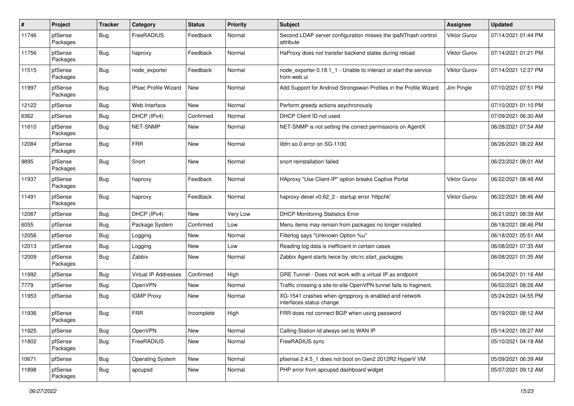| $\pmb{\#}$ | Project             | Tracker    | Category                    | <b>Status</b> | <b>Priority</b> | Subject                                                                           | <b>Assignee</b> | <b>Updated</b>      |
|------------|---------------------|------------|-----------------------------|---------------|-----------------|-----------------------------------------------------------------------------------|-----------------|---------------------|
| 11746      | pfSense<br>Packages | Bug        | FreeRADIUS                  | Feedback      | Normal          | Second LDAP server configuration misses the ipaNThash control<br>attribute        | Viktor Gurov    | 07/14/2021 01:44 PM |
| 11756      | pfSense<br>Packages | Bug        | haproxy                     | Feedback      | Normal          | HaProxy does not transfer backend states during reload                            | Viktor Gurov    | 07/14/2021 01:21 PM |
| 11515      | pfSense<br>Packages | <b>Bug</b> | node_exporter               | Feedback      | Normal          | node exporter 0.18.1 1 - Unable to interact or start the service<br>from web ui   | Viktor Gurov    | 07/14/2021 12:37 PM |
| 11997      | pfSense<br>Packages | <b>Bug</b> | <b>IPsec Profile Wizard</b> | New           | Normal          | Add Support for Android Strongswan Profiles in the Profile Wizard                 | Jim Pingle      | 07/10/2021 07:51 PM |
| 12122      | pfSense             | Bug        | Web Interface               | New           | Normal          | Perform greedy actions asychronously                                              |                 | 07/10/2021 01:10 PM |
| 6362       | pfSense             | <b>Bug</b> | DHCP (IPv4)                 | Confirmed     | Normal          | DHCP Client ID not used                                                           |                 | 07/09/2021 06:30 AM |
| 11610      | pfSense<br>Packages | Bug        | NET-SNMP                    | New           | Normal          | NET-SNMP is not setting the correct permissions on AgentX                         |                 | 06/28/2021 07:54 AM |
| 12084      | pfSense<br>Packages | <b>Bug</b> | <b>FRR</b>                  | New           | Normal          | libfrr.so.0 error on SG-1100                                                      |                 | 06/26/2021 08:22 AM |
| 9895       | pfSense<br>Packages | Bug        | Snort                       | New           | Normal          | snort reinstallation failed                                                       |                 | 06/23/2021 08:01 AM |
| 11937      | pfSense<br>Packages | Bug        | haproxy                     | Feedback      | Normal          | HAproxy "Use Client-IP" option breaks Captive Portal                              | Viktor Gurov    | 06/22/2021 08:48 AM |
| 11491      | pfSense<br>Packages | <b>Bug</b> | haproxy                     | Feedback      | Normal          | haproxy-devel v0.62_2 - startup error 'httpchk'                                   | Viktor Gurov    | 06/22/2021 08:46 AM |
| 12067      | pfSense             | <b>Bug</b> | DHCP (IPv4)                 | <b>New</b>    | Very Low        | <b>DHCP Monitoring Statistics Error</b>                                           |                 | 06/21/2021 08:39 AM |
| 6055       | pfSense             | Bug        | Package System              | Confirmed     | Low             | Menu items may remain from packages no longer installed                           |                 | 06/18/2021 08:46 PM |
| 12056      | pfSense             | <b>Bug</b> | Logging                     | New           | Normal          | Filterlog says "Unknown Option %u"                                                |                 | 06/18/2021 05:51 AM |
| 12013      | pfSense             | <b>Bug</b> | Logging                     | New           | Low             | Reading log data is inefficient in certain cases                                  |                 | 06/08/2021 07:35 AM |
| 12009      | pfSense<br>Packages | Bug        | Zabbix                      | New           | Normal          | Zabbix Agent starts twice by /etc/rc.start packages                               |                 | 06/08/2021 01:35 AM |
| 11992      | pfSense             | <b>Bug</b> | <b>Virtual IP Addresses</b> | Confirmed     | High            | GRE Tunnel - Does not work with a virtual IP as endpoint                          |                 | 06/04/2021 01:16 AM |
| 7779       | pfSense             | Bug        | OpenVPN                     | New           | Normal          | Traffic crossing a site-to-site OpenVPN tunnel fails to fragment.                 |                 | 06/02/2021 08:26 AM |
| 11953      | pfSense             | Bug        | <b>IGMP Proxy</b>           | New           | Normal          | XG-1541 crashes when igmpproxy is enabled and network<br>interfaces status change |                 | 05/24/2021 04:55 PM |
| 11936      | pfSense<br>Packages | <b>Bug</b> | <b>FRR</b>                  | Incomplete    | High            | FRR does not connect BGP when using password                                      |                 | 05/19/2021 08:12 AM |
| 11925      | pfSense             | Bug        | OpenVPN                     | New           | Normal          | Calling-Station-Id always set to WAN IP                                           |                 | 05/14/2021 09:27 AM |
| 11802      | pfSense<br>Packages | <b>Bug</b> | FreeRADIUS                  | New           | Normal          | FreeRADIUS sync                                                                   |                 | 05/10/2021 04:18 AM |
| 10671      | pfSense             | Bug        | <b>Operating System</b>     | New           | Normal          | pfsense 2.4.5_1 does not boot on Gen2 2012R2 HyperV VM                            |                 | 05/09/2021 06:39 AM |
| 11898      | pfSense<br>Packages | <b>Bug</b> | apcupsd                     | New           | Normal          | PHP error from apcupsd dashboard widget                                           |                 | 05/07/2021 09:12 AM |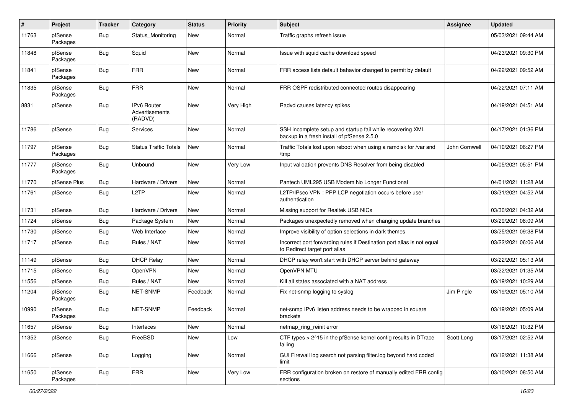| #     | Project             | <b>Tracker</b> | Category                                        | <b>Status</b> | <b>Priority</b> | <b>Subject</b>                                                                                           | <b>Assignee</b> | <b>Updated</b>      |
|-------|---------------------|----------------|-------------------------------------------------|---------------|-----------------|----------------------------------------------------------------------------------------------------------|-----------------|---------------------|
| 11763 | pfSense<br>Packages | Bug            | Status Monitoring                               | New           | Normal          | Traffic graphs refresh issue                                                                             |                 | 05/03/2021 09:44 AM |
| 11848 | pfSense<br>Packages | Bug            | Squid                                           | New           | Normal          | Issue with squid cache download speed                                                                    |                 | 04/23/2021 09:30 PM |
| 11841 | pfSense<br>Packages | <b>Bug</b>     | <b>FRR</b>                                      | <b>New</b>    | Normal          | FRR access lists default bahavior changed to permit by default                                           |                 | 04/22/2021 09:52 AM |
| 11835 | pfSense<br>Packages | Bug            | <b>FRR</b>                                      | <b>New</b>    | Normal          | FRR OSPF redistributed connected routes disappearing                                                     |                 | 04/22/2021 07:11 AM |
| 8831  | pfSense             | Bug            | IPv6 Router<br><b>Advertisements</b><br>(RADVD) | <b>New</b>    | Very High       | Radvd causes latency spikes                                                                              |                 | 04/19/2021 04:51 AM |
| 11786 | pfSense             | Bug            | Services                                        | New           | Normal          | SSH incomplete setup and startup fail while recovering XML<br>backup in a fresh install of pfSense 2.5.0 |                 | 04/17/2021 01:36 PM |
| 11797 | pfSense<br>Packages | Bug            | <b>Status Traffic Totals</b>                    | <b>New</b>    | Normal          | Traffic Totals lost upon reboot when using a ramdisk for /var and<br>/tmp                                | John Cornwell   | 04/10/2021 06:27 PM |
| 11777 | pfSense<br>Packages | <b>Bug</b>     | Unbound                                         | <b>New</b>    | Very Low        | Input validation prevents DNS Resolver from being disabled                                               |                 | 04/05/2021 05:51 PM |
| 11770 | pfSense Plus        | Bug            | Hardware / Drivers                              | New           | Normal          | Pantech UML295 USB Modem No Longer Functional                                                            |                 | 04/01/2021 11:28 AM |
| 11761 | pfSense             | Bug            | L2TP                                            | New           | Normal          | L2TP/IPsec VPN : PPP LCP negotiation occurs before user<br>authentication                                |                 | 03/31/2021 04:52 AM |
| 11731 | pfSense             | Bug            | Hardware / Drivers                              | <b>New</b>    | Normal          | Missing support for Realtek USB NICs                                                                     |                 | 03/30/2021 04:32 AM |
| 11724 | pfSense             | Bug            | Package System                                  | New           | Normal          | Packages unexpectedly removed when changing update branches                                              |                 | 03/29/2021 08:09 AM |
| 11730 | pfSense             | Bug            | Web Interface                                   | New           | Normal          | Improve visibility of option selections in dark themes                                                   |                 | 03/25/2021 09:38 PM |
| 11717 | pfSense             | Bug            | Rules / NAT                                     | <b>New</b>    | Normal          | Incorrect port forwarding rules if Destination port alias is not equal<br>to Redirect target port alias  |                 | 03/22/2021 06:06 AM |
| 11149 | pfSense             | Bug            | <b>DHCP Relay</b>                               | New           | Normal          | DHCP relay won't start with DHCP server behind gateway                                                   |                 | 03/22/2021 05:13 AM |
| 11715 | pfSense             | Bug            | OpenVPN                                         | New           | Normal          | OpenVPN MTU                                                                                              |                 | 03/22/2021 01:35 AM |
| 11556 | pfSense             | Bug            | Rules / NAT                                     | New           | Normal          | Kill all states associated with a NAT address                                                            |                 | 03/19/2021 10:29 AM |
| 11204 | pfSense<br>Packages | Bug            | <b>NET-SNMP</b>                                 | Feedback      | Normal          | Fix net-snmp logging to syslog                                                                           | Jim Pingle      | 03/19/2021 05:10 AM |
| 10990 | pfSense<br>Packages | Bug            | <b>NET-SNMP</b>                                 | Feedback      | Normal          | net-snmp IPv6 listen address needs to be wrapped in square<br>brackets                                   |                 | 03/19/2021 05:09 AM |
| 11657 | pfSense             | <b>Bug</b>     | Interfaces                                      | New           | Normal          | netmap_ring_reinit error                                                                                 |                 | 03/18/2021 10:32 PM |
| 11352 | pfSense             | <b>Bug</b>     | FreeBSD                                         | New           | Low             | CTF types > 2^15 in the pfSense kernel config results in DTrace<br>failing                               | Scott Long      | 03/17/2021 02:52 AM |
| 11666 | pfSense             | <b>Bug</b>     | Logging                                         | New           | Normal          | GUI Firewall log search not parsing filter.log beyond hard coded<br>limit                                |                 | 03/12/2021 11:38 AM |
| 11650 | pfSense<br>Packages | <b>Bug</b>     | <b>FRR</b>                                      | New           | Very Low        | FRR configuration broken on restore of manually edited FRR config<br>sections                            |                 | 03/10/2021 08:50 AM |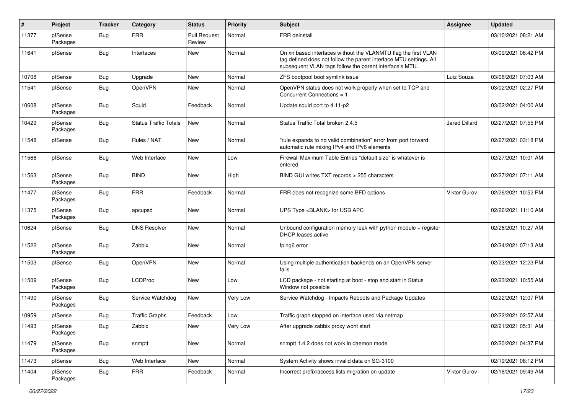| $\sharp$ | Project             | <b>Tracker</b> | Category                     | <b>Status</b>                 | <b>Priority</b> | <b>Subject</b>                                                                                                                                                                                  | <b>Assignee</b>      | <b>Updated</b>      |
|----------|---------------------|----------------|------------------------------|-------------------------------|-----------------|-------------------------------------------------------------------------------------------------------------------------------------------------------------------------------------------------|----------------------|---------------------|
| 11377    | pfSense<br>Packages | Bug            | <b>FRR</b>                   | <b>Pull Request</b><br>Review | Normal          | <b>FRR</b> deinstall                                                                                                                                                                            |                      | 03/10/2021 08:21 AM |
| 11641    | pfSense             | <b>Bug</b>     | Interfaces                   | New                           | Normal          | On xn based interfaces without the VLANMTU flag the first VLAN<br>tag defined does not follow the parent interface MTU settings. All<br>subsequent VLAN tags follow the parent interface's MTU. |                      | 03/09/2021 06:42 PM |
| 10708    | pfSense             | <b>Bug</b>     | Upgrade                      | New                           | Normal          | ZFS bootpool boot symlink issue                                                                                                                                                                 | Luiz Souza           | 03/08/2021 07:03 AM |
| 11541    | pfSense             | Bug            | OpenVPN                      | New                           | Normal          | OpenVPN status does not work properly when set to TCP and<br>Concurrent Connections = 1                                                                                                         |                      | 03/02/2021 02:27 PM |
| 10608    | pfSense<br>Packages | Bug            | Squid                        | Feedback                      | Normal          | Update squid port to 4.11-p2                                                                                                                                                                    |                      | 03/02/2021 04:00 AM |
| 10429    | pfSense<br>Packages | <b>Bug</b>     | <b>Status Traffic Totals</b> | <b>New</b>                    | Normal          | Status Traffic Total broken 2.4.5                                                                                                                                                               | <b>Jared Dillard</b> | 02/27/2021 07:55 PM |
| 11548    | pfSense             | Bug            | Rules / NAT                  | New                           | Normal          | "rule expands to no valid combination" error from port forward<br>automatic rule mixing IPv4 and IPv6 elements                                                                                  |                      | 02/27/2021 03:18 PM |
| 11566    | pfSense             | Bug            | Web Interface                | New                           | Low             | Firewall Maximum Table Entries "default size" is whatever is<br>entered                                                                                                                         |                      | 02/27/2021 10:01 AM |
| 11563    | pfSense<br>Packages | Bug            | <b>BIND</b>                  | New                           | High            | BIND GUI writes TXT records > 255 characters                                                                                                                                                    |                      | 02/27/2021 07:11 AM |
| 11477    | pfSense<br>Packages | Bug            | <b>FRR</b>                   | Feedback                      | Normal          | FRR does not recognize some BFD options                                                                                                                                                         | Viktor Gurov         | 02/26/2021 10:52 PM |
| 11375    | pfSense<br>Packages | Bug            | apcupsd                      | New                           | Normal          | UPS Type <blank> for USB APC</blank>                                                                                                                                                            |                      | 02/26/2021 11:10 AM |
| 10624    | pfSense             | Bug            | <b>DNS Resolver</b>          | <b>New</b>                    | Normal          | Unbound configuration memory leak with python module $+$ register<br>DHCP leases active                                                                                                         |                      | 02/26/2021 10:27 AM |
| 11522    | pfSense<br>Packages | Bug            | Zabbix                       | New                           | Normal          | fping6 error                                                                                                                                                                                    |                      | 02/24/2021 07:13 AM |
| 11503    | pfSense             | Bug            | OpenVPN                      | <b>New</b>                    | Normal          | Using multiple authentication backends on an OpenVPN server<br>fails                                                                                                                            |                      | 02/23/2021 12:23 PM |
| 11509    | pfSense<br>Packages | Bug            | LCDProc                      | New                           | Low             | LCD package - not starting at boot - stop and start in Status<br>Window not possible                                                                                                            |                      | 02/23/2021 10:55 AM |
| 11490    | pfSense<br>Packages | Bug            | Service Watchdog             | New                           | Very Low        | Service Watchdog - Impacts Reboots and Package Updates                                                                                                                                          |                      | 02/22/2021 12:07 PM |
| 10959    | pfSense             | <b>Bug</b>     | <b>Traffic Graphs</b>        | Feedback                      | Low             | Traffic graph stopped on interface used via netmap                                                                                                                                              |                      | 02/22/2021 02:57 AM |
| 11493    | pfSense<br>Packages | <b>Bug</b>     | Zabbix                       | New                           | Very Low        | After upgrade zabbix proxy wont start                                                                                                                                                           |                      | 02/21/2021 05:31 AM |
| 11479    | pfSense<br>Packages | Bug            | snmptt                       | New                           | Normal          | snmptt 1.4.2 does not work in daemon mode                                                                                                                                                       |                      | 02/20/2021 04:37 PM |
| 11473    | pfSense             | <b>Bug</b>     | Web Interface                | New                           | Normal          | System Activity shows invalid data on SG-3100                                                                                                                                                   |                      | 02/19/2021 08:12 PM |
| 11404    | pfSense<br>Packages | <b>Bug</b>     | <b>FRR</b>                   | Feedback                      | Normal          | Incorrect prefix/access lists migration on update                                                                                                                                               | Viktor Gurov         | 02/18/2021 09:49 AM |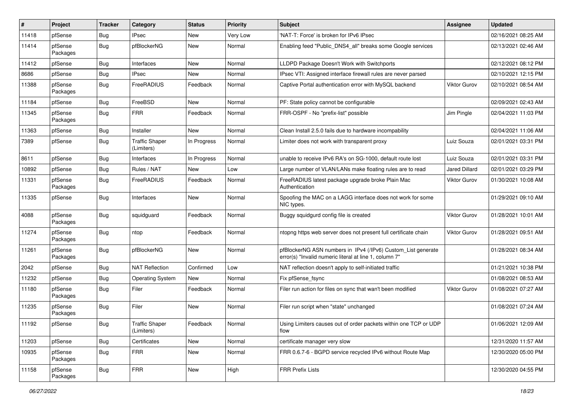| $\vert$ # | Project             | <b>Tracker</b> | Category                            | <b>Status</b> | <b>Priority</b> | <b>Subject</b>                                                                                                         | <b>Assignee</b>      | <b>Updated</b>      |
|-----------|---------------------|----------------|-------------------------------------|---------------|-----------------|------------------------------------------------------------------------------------------------------------------------|----------------------|---------------------|
| 11418     | pfSense             | Bug            | <b>IPsec</b>                        | New           | Very Low        | 'NAT-T: Force' is broken for IPv6 IPsec                                                                                |                      | 02/16/2021 08:25 AM |
| 11414     | pfSense<br>Packages | Bug            | pfBlockerNG                         | New           | Normal          | Enabling feed "Public_DNS4_all" breaks some Google services                                                            |                      | 02/13/2021 02:46 AM |
| 11412     | pfSense             | Bug            | Interfaces                          | New           | Normal          | LLDPD Package Doesn't Work with Switchports                                                                            |                      | 02/12/2021 08:12 PM |
| 8686      | pfSense             | <b>Bug</b>     | <b>IPsec</b>                        | New           | Normal          | IPsec VTI: Assigned interface firewall rules are never parsed                                                          |                      | 02/10/2021 12:15 PM |
| 11388     | pfSense<br>Packages | <b>Bug</b>     | FreeRADIUS                          | Feedback      | Normal          | Captive Portal authentication error with MySQL backend                                                                 | Viktor Gurov         | 02/10/2021 08:54 AM |
| 11184     | pfSense             | <b>Bug</b>     | FreeBSD                             | <b>New</b>    | Normal          | PF: State policy cannot be configurable                                                                                |                      | 02/09/2021 02:43 AM |
| 11345     | pfSense<br>Packages | Bug            | <b>FRR</b>                          | Feedback      | Normal          | FRR-OSPF - No "prefix-list" possible                                                                                   | Jim Pingle           | 02/04/2021 11:03 PM |
| 11363     | pfSense             | <b>Bug</b>     | Installer                           | New           | Normal          | Clean Install 2.5.0 fails due to hardware incompability                                                                |                      | 02/04/2021 11:06 AM |
| 7389      | pfSense             | Bug            | <b>Traffic Shaper</b><br>(Limiters) | In Progress   | Normal          | Limiter does not work with transparent proxy                                                                           | Luiz Souza           | 02/01/2021 03:31 PM |
| 8611      | pfSense             | Bug            | Interfaces                          | In Progress   | Normal          | unable to receive IPv6 RA's on SG-1000, default route lost                                                             | Luiz Souza           | 02/01/2021 03:31 PM |
| 10892     | pfSense             | Bug            | Rules / NAT                         | New           | Low             | Large number of VLAN/LANs make floating rules are to read                                                              | <b>Jared Dillard</b> | 02/01/2021 03:29 PM |
| 11331     | pfSense<br>Packages | <b>Bug</b>     | FreeRADIUS                          | Feedback      | Normal          | FreeRADIUS latest package upgrade broke Plain Mac<br>Authentication                                                    | <b>Viktor Gurov</b>  | 01/30/2021 10:08 AM |
| 11335     | pfSense             | Bug            | Interfaces                          | New           | Normal          | Spoofing the MAC on a LAGG interface does not work for some<br>NIC types.                                              |                      | 01/29/2021 09:10 AM |
| 4088      | pfSense<br>Packages | Bug            | squidguard                          | Feedback      | Normal          | Buggy squidgurd config file is created                                                                                 | <b>Viktor Gurov</b>  | 01/28/2021 10:01 AM |
| 11274     | pfSense<br>Packages | <b>Bug</b>     | ntop                                | Feedback      | Normal          | ntopng https web server does not present full certificate chain                                                        | Viktor Gurov         | 01/28/2021 09:51 AM |
| 11261     | pfSense<br>Packages | <b>Bug</b>     | pfBlockerNG                         | New           | Normal          | pfBlockerNG ASN numbers in IPv4 (/IPv6) Custom_List generate<br>error(s) "Invalid numeric literal at line 1, column 7" |                      | 01/28/2021 08:34 AM |
| 2042      | pfSense             | Bug            | <b>NAT Reflection</b>               | Confirmed     | Low             | NAT reflection doesn't apply to self-initiated traffic                                                                 |                      | 01/21/2021 10:38 PM |
| 11232     | pfSense             | <b>Bug</b>     | <b>Operating System</b>             | New           | Normal          | Fix pfSense_fsync                                                                                                      |                      | 01/08/2021 08:53 AM |
| 11180     | pfSense<br>Packages | <b>Bug</b>     | Filer                               | Feedback      | Normal          | Filer run action for files on sync that wan't been modified                                                            | Viktor Gurov         | 01/08/2021 07:27 AM |
| 11235     | pfSense<br>Packages | <b>Bug</b>     | Filer                               | <b>New</b>    | Normal          | Filer run script when "state" unchanged                                                                                |                      | 01/08/2021 07:24 AM |
| 11192     | pfSense             | Bug            | <b>Traffic Shaper</b><br>(Limiters) | Feedback      | Normal          | Using Limiters causes out of order packets within one TCP or UDP<br>flow                                               |                      | 01/06/2021 12:09 AM |
| 11203     | pfSense             | Bug            | Certificates                        | New           | Normal          | certificate manager very slow                                                                                          |                      | 12/31/2020 11:57 AM |
| 10935     | pfSense<br>Packages | <b>Bug</b>     | <b>FRR</b>                          | New           | Normal          | FRR 0.6.7-6 - BGPD service recycled IPv6 without Route Map                                                             |                      | 12/30/2020 05:00 PM |
| 11158     | pfSense<br>Packages | Bug            | <b>FRR</b>                          | New           | High            | <b>FRR Prefix Lists</b>                                                                                                |                      | 12/30/2020 04:55 PM |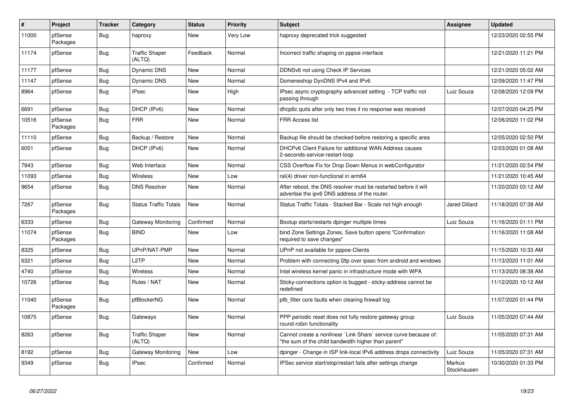| $\sharp$ | Project             | <b>Tracker</b> | Category                        | <b>Status</b> | Priority        | <b>Subject</b>                                                                                                          | <b>Assignee</b>       | <b>Updated</b>      |
|----------|---------------------|----------------|---------------------------------|---------------|-----------------|-------------------------------------------------------------------------------------------------------------------------|-----------------------|---------------------|
| 11000    | pfSense<br>Packages | Bug            | haproxy                         | New           | <b>Very Low</b> | haproxy deprecated trick suggested                                                                                      |                       | 12/23/2020 02:55 PM |
| 11174    | pfSense             | Bug            | <b>Traffic Shaper</b><br>(ALTQ) | Feedback      | Normal          | Incorrect traffic shaping on pppoe interface                                                                            |                       | 12/21/2020 11:21 PM |
| 11177    | pfSense             | Bug            | Dynamic DNS                     | <b>New</b>    | Normal          | DDNSv6 not using Check IP Services                                                                                      |                       | 12/21/2020 05:02 AM |
| 11147    | pfSense             | Bug            | <b>Dynamic DNS</b>              | New           | Normal          | Domeneshop DynDNS IPv4 and IPv6                                                                                         |                       | 12/09/2020 11:47 PM |
| 8964     | pfSense             | Bug            | <b>IPsec</b>                    | <b>New</b>    | High            | IPsec async cryptography advanced setting - TCP traffic not<br>passing through                                          | Luiz Souza            | 12/08/2020 12:09 PM |
| 6691     | pfSense             | Bug            | DHCP (IPv6)                     | <b>New</b>    | Normal          | dhcp6c quits after only two tries if no response was received                                                           |                       | 12/07/2020 04:25 PM |
| 10516    | pfSense<br>Packages | Bug            | <b>FRR</b>                      | New           | Normal          | <b>FRR Access list</b>                                                                                                  |                       | 12/06/2020 11:02 PM |
| 11110    | pfSense             | <b>Bug</b>     | Backup / Restore                | <b>New</b>    | Normal          | Backup file should be checked before restoring a specific area                                                          |                       | 12/05/2020 02:50 PM |
| 6051     | pfSense             | Bug            | DHCP (IPv6)                     | New           | Normal          | DHCPv6 Client Failure for additional WAN Address causes<br>2-seconds-service-restart-loop                               |                       | 12/03/2020 01:08 AM |
| 7943     | pfSense             | <b>Bug</b>     | Web Interface                   | <b>New</b>    | Normal          | CSS Overflow Fix for Drop Down Menus in webConfigurator                                                                 |                       | 11/21/2020 02:54 PM |
| 11093    | pfSense             | Bug            | Wireless                        | <b>New</b>    | Low             | ral(4) driver non-functional in arm64                                                                                   |                       | 11/21/2020 10:45 AM |
| 9654     | pfSense             | Bug            | <b>DNS Resolver</b>             | <b>New</b>    | Normal          | After reboot, the DNS resolver must be restarted before it will<br>advertise the ipv6 DNS address of the router.        |                       | 11/20/2020 03:12 AM |
| 7267     | pfSense<br>Packages | Bug            | <b>Status Traffic Totals</b>    | New           | Normal          | Status Traffic Totals - Stacked Bar - Scale not high enough                                                             | Jared Dillard         | 11/18/2020 07:38 AM |
| 6333     | pfSense             | <b>Bug</b>     | Gateway Monitoring              | Confirmed     | Normal          | Bootup starts/restarts dpinger multiple times                                                                           | Luiz Souza            | 11/16/2020 01:11 PM |
| 11074    | pfSense<br>Packages | <b>Bug</b>     | <b>BIND</b>                     | New           | Low             | bind Zone Settings Zones, Save button opens "Confirmation<br>required to save changes"                                  |                       | 11/16/2020 11:08 AM |
| 8325     | pfSense             | <b>Bug</b>     | UPnP/NAT-PMP                    | <b>New</b>    | Normal          | UPnP not available for pppoe-Clients                                                                                    |                       | 11/15/2020 10:33 AM |
| 6321     | pfSense             | Bug            | L <sub>2</sub> TP               | <b>New</b>    | Normal          | Problem with connecting I2tp over ipsec from android and windows                                                        |                       | 11/13/2020 11:01 AM |
| 4740     | pfSense             | Bug            | Wireless                        | <b>New</b>    | Normal          | Intel wireless kernel panic in infrastructure mode with WPA                                                             |                       | 11/13/2020 08:38 AM |
| 10726    | pfSense             | Bug            | Rules / NAT                     | <b>New</b>    | Normal          | Sticky-connections option is bugged - sticky-address cannot be<br>redefined                                             |                       | 11/12/2020 10:12 AM |
| 11040    | pfSense<br>Packages | Bug            | pfBlockerNG                     | New           | Normal          | pfb filter core faults when clearing firewall log                                                                       |                       | 11/07/2020 01:44 PM |
| 10875    | pfSense             | Bug            | Gateways                        | <b>New</b>    | Normal          | PPP periodic reset does not fully restore gateway group<br>round-robin functionality                                    | Luiz Souza            | 11/05/2020 07:44 AM |
| 8263     | pfSense             | <b>Bug</b>     | <b>Traffic Shaper</b><br>(ALTQ) | <b>New</b>    | Normal          | Cannot create a nonlinear 'Link Share' service curve because of:<br>"the sum of the child bandwidth higher than parent" |                       | 11/05/2020 07:31 AM |
| 8192     | pfSense             | Bug            | Gateway Monitoring              | New           | Low             | dpinger - Change in ISP link-local IPv6 address drops connectivity                                                      | Luiz Souza            | 11/05/2020 07:31 AM |
| 9349     | pfSense             | Bug            | IPsec                           | Confirmed     | Normal          | IPSec service start/stop/restart fails after settings change                                                            | Markus<br>Stockhausen | 10/30/2020 01:33 PM |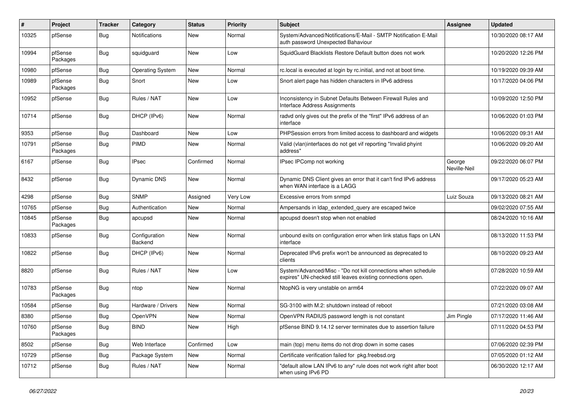| #     | Project             | <b>Tracker</b> | Category                 | <b>Status</b> | <b>Priority</b> | <b>Subject</b>                                                                                                               | Assignee               | <b>Updated</b>      |
|-------|---------------------|----------------|--------------------------|---------------|-----------------|------------------------------------------------------------------------------------------------------------------------------|------------------------|---------------------|
| 10325 | pfSense             | Bug            | Notifications            | New           | Normal          | System/Advanced/Notifications/E-Mail - SMTP Notification E-Mail<br>auth password Unexpected Bahaviour                        |                        | 10/30/2020 08:17 AM |
| 10994 | pfSense<br>Packages | <b>Bug</b>     | squidguard               | New           | Low             | SquidGuard Blacklists Restore Default button does not work                                                                   |                        | 10/20/2020 12:26 PM |
| 10980 | pfSense             | <b>Bug</b>     | <b>Operating System</b>  | New           | Normal          | rc.local is executed at login by rc.initial, and not at boot time.                                                           |                        | 10/19/2020 09:39 AM |
| 10989 | pfSense<br>Packages | Bug            | Snort                    | New           | Low             | Snort alert page has hidden characters in IPv6 address                                                                       |                        | 10/17/2020 04:06 PM |
| 10952 | pfSense             | <b>Bug</b>     | Rules / NAT              | <b>New</b>    | Low             | Inconsistency in Subnet Defaults Between Firewall Rules and<br><b>Interface Address Assignments</b>                          |                        | 10/09/2020 12:50 PM |
| 10714 | pfSense             | Bug            | DHCP (IPv6)              | New           | Normal          | radvd only gives out the prefix of the "first" IPv6 address of an<br>interface                                               |                        | 10/06/2020 01:03 PM |
| 9353  | pfSense             | Bug            | Dashboard                | New           | Low             | PHPSession errors from limited access to dashboard and widgets                                                               |                        | 10/06/2020 09:31 AM |
| 10791 | pfSense<br>Packages | <b>Bug</b>     | PIMD                     | New           | Normal          | Valid (vlan)interfaces do not get vif reporting "Invalid phyint<br>address"                                                  |                        | 10/06/2020 09:20 AM |
| 6167  | pfSense             | Bug            | <b>IPsec</b>             | Confirmed     | Normal          | IPsec IPComp not working                                                                                                     | George<br>Neville-Neil | 09/22/2020 06:07 PM |
| 8432  | pfSense             | <b>Bug</b>     | Dynamic DNS              | New           | Normal          | Dynamic DNS Client gives an error that it can't find IPv6 address<br>when WAN interface is a LAGG                            |                        | 09/17/2020 05:23 AM |
| 4298  | pfSense             | <b>Bug</b>     | <b>SNMP</b>              | Assigned      | Very Low        | Excessive errors from snmpd                                                                                                  | Luiz Souza             | 09/13/2020 08:21 AM |
| 10765 | pfSense             | Bug            | Authentication           | New           | Normal          | Ampersands in Idap extended query are escaped twice                                                                          |                        | 09/02/2020 07:55 AM |
| 10845 | pfSense<br>Packages | Bug            | apcupsd                  | New           | Normal          | apcupsd doesn't stop when not enabled                                                                                        |                        | 08/24/2020 10:16 AM |
| 10833 | pfSense             | Bug            | Configuration<br>Backend | New           | Normal          | unbound exits on configuration error when link status flaps on LAN<br>interface                                              |                        | 08/13/2020 11:53 PM |
| 10822 | pfSense             | Bug            | DHCP (IPv6)              | New           | Normal          | Deprecated IPv6 prefix won't be announced as deprecated to<br>clients                                                        |                        | 08/10/2020 09:23 AM |
| 8820  | pfSense             | <b>Bug</b>     | Rules / NAT              | New           | Low             | System/Advanced/Misc - "Do not kill connections when schedule<br>expires" UN-checked still leaves existing connections open. |                        | 07/28/2020 10:59 AM |
| 10783 | pfSense<br>Packages | Bug            | ntop                     | New           | Normal          | NtopNG is very unstable on arm64                                                                                             |                        | 07/22/2020 09:07 AM |
| 10584 | pfSense             | Bug            | Hardware / Drivers       | New           | Normal          | SG-3100 with M.2: shutdown instead of reboot                                                                                 |                        | 07/21/2020 03:08 AM |
| 8380  | pfSense             | <b>Bug</b>     | OpenVPN                  | New           | Normal          | OpenVPN RADIUS password length is not constant                                                                               | Jim Pingle             | 07/17/2020 11:46 AM |
| 10760 | pfSense<br>Packages | <b>Bug</b>     | <b>BIND</b>              | New           | High            | pfSense BIND 9.14.12 server terminates due to assertion failure                                                              |                        | 07/11/2020 04:53 PM |
| 8502  | pfSense             | <b>Bug</b>     | Web Interface            | Confirmed     | Low             | main (top) menu items do not drop down in some cases                                                                         |                        | 07/06/2020 02:39 PM |
| 10729 | pfSense             | <b>Bug</b>     | Package System           | New           | Normal          | Certificate verification failed for pkg.freebsd.org                                                                          |                        | 07/05/2020 01:12 AM |
| 10712 | pfSense             | <b>Bug</b>     | Rules / NAT              | New           | Normal          | "default allow LAN IPv6 to any" rule does not work right after boot<br>when using IPv6 PD                                    |                        | 06/30/2020 12:17 AM |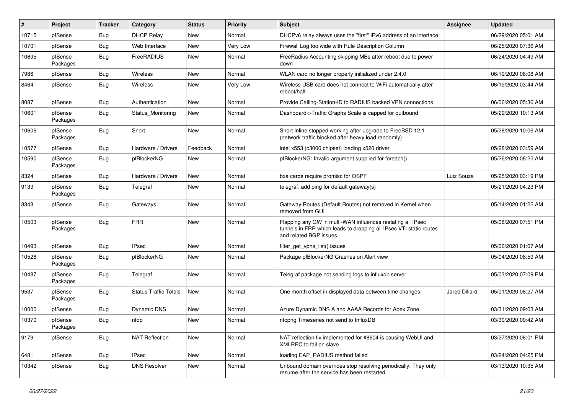| #     | Project             | <b>Tracker</b> | Category                     | <b>Status</b> | <b>Priority</b> | <b>Subject</b>                                                                                                                                              | Assignee      | <b>Updated</b>      |
|-------|---------------------|----------------|------------------------------|---------------|-----------------|-------------------------------------------------------------------------------------------------------------------------------------------------------------|---------------|---------------------|
| 10715 | pfSense             | Bug            | <b>DHCP Relay</b>            | New           | Normal          | DHCPv6 relay always uses the "first" IPv6 address of an interface                                                                                           |               | 06/29/2020 05:01 AM |
| 10701 | pfSense             | Bug            | Web Interface                | New           | Very Low        | Firewall Log too wide with Rule Description Column                                                                                                          |               | 06/25/2020 07:36 AM |
| 10695 | pfSense<br>Packages | Bug            | FreeRADIUS                   | New           | Normal          | Free Radius Accounting skipping MBs after reboot due to power<br>down                                                                                       |               | 06/24/2020 04:49 AM |
| 7986  | pfSense             | <b>Bug</b>     | Wireless                     | <b>New</b>    | Normal          | WLAN card no longer properly initialized under 2.4.0                                                                                                        |               | 06/19/2020 08:08 AM |
| 8464  | pfSense             | Bug            | Wireless                     | New           | Very Low        | Wireless USB card does not connect to WiFi automatically after<br>reboot/halt                                                                               |               | 06/19/2020 03:44 AM |
| 8087  | pfSense             | Bug            | Authentication               | <b>New</b>    | Normal          | Provide Calling-Station-ID to RADIUS backed VPN connections                                                                                                 |               | 06/06/2020 05:36 AM |
| 10601 | pfSense<br>Packages | Bug            | Status Monitoring            | New           | Normal          | Dashboard->Traffic Graphs Scale is capped for outbound                                                                                                      |               | 05/29/2020 10:13 AM |
| 10606 | pfSense<br>Packages | <b>Bug</b>     | Snort                        | <b>New</b>    | Normal          | Snort Inline stopped working after upgrade to FreeBSD 12.1<br>(network traffic blocked after heavy load randomly)                                           |               | 05/28/2020 10:06 AM |
| 10577 | pfSense             | Bug            | Hardware / Drivers           | Feedback      | Normal          | intel x553 (c3000 chipset) loading x520 driver                                                                                                              |               | 05/28/2020 03:59 AM |
| 10590 | pfSense<br>Packages | Bug            | pfBlockerNG                  | New           | Normal          | pfBlockerNG: Invalid argument supplied for foreach()                                                                                                        |               | 05/26/2020 08:22 AM |
| 8324  | pfSense             | Bug            | Hardware / Drivers           | <b>New</b>    | Normal          | bxe cards require promisc for OSPF                                                                                                                          | Luiz Souza    | 05/25/2020 03:19 PM |
| 9139  | pfSense<br>Packages | Bug            | Telegraf                     | New           | Normal          | telegraf: add ping for default gateway(s)                                                                                                                   |               | 05/21/2020 04:23 PM |
| 8343  | pfSense             | Bug            | Gateways                     | New           | Normal          | Gateway Routes (Default Routes) not removed in Kernel when<br>removed from GUI                                                                              |               | 05/14/2020 01:22 AM |
| 10503 | pfSense<br>Packages | Bug            | <b>FRR</b>                   | New           | Normal          | Flapping any GW in multi-WAN influences restating all IPsec<br>tunnels in FRR which leads to dropping all IPsec VTI static routes<br>and related BGP issues |               | 05/08/2020 07:51 PM |
| 10493 | pfSense             | Bug            | <b>IPsec</b>                 | New           | Normal          | filter_get_vpns_list() issues                                                                                                                               |               | 05/06/2020 01:07 AM |
| 10526 | pfSense<br>Packages | Bug            | pfBlockerNG                  | New           | Normal          | Package pfBlockerNG Crashes on Alert view                                                                                                                   |               | 05/04/2020 08:59 AM |
| 10487 | pfSense<br>Packages | Bug            | Telegraf                     | <b>New</b>    | Normal          | Telegraf package not sending logs to influxdb server                                                                                                        |               | 05/03/2020 07:09 PM |
| 9537  | pfSense<br>Packages | Bug            | <b>Status Traffic Totals</b> | New           | Normal          | One month offset in displayed data between time changes                                                                                                     | Jared Dillard | 05/01/2020 08:27 AM |
| 10000 | pfSense             | Bug            | Dynamic DNS                  | New           | Normal          | Azure Dynamic DNS A and AAAA Records for Apex Zone                                                                                                          |               | 03/31/2020 09:03 AM |
| 10370 | pfSense<br>Packages | Bug            | ntop                         | New           | Normal          | ntopng Timeseries not send to InfluxDB                                                                                                                      |               | 03/30/2020 09:42 AM |
| 9179  | pfSense             | Bug            | <b>NAT Reflection</b>        | New           | Normal          | NAT reflection fix implemented for #8604 is causing WebUI and<br>XMLRPC to fail on slave                                                                    |               | 03/27/2020 08:01 PM |
| 6481  | pfSense             | Bug            | <b>IPsec</b>                 | New           | Normal          | loading EAP_RADIUS method failed                                                                                                                            |               | 03/24/2020 04:25 PM |
| 10342 | pfSense             | <b>Bug</b>     | <b>DNS Resolver</b>          | New           | Normal          | Unbound domain overrides stop resolving periodically. They only<br>resume after the service has been restarted.                                             |               | 03/13/2020 10:35 AM |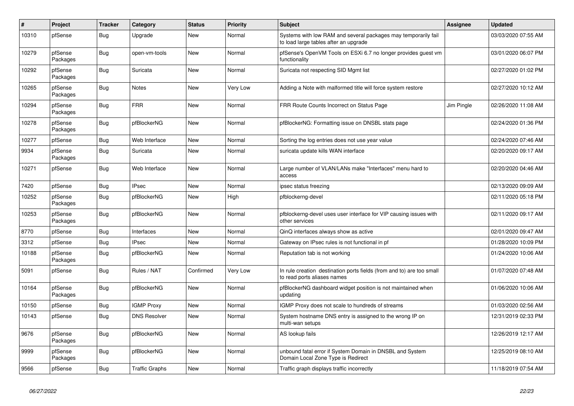| $\sharp$ | Project             | <b>Tracker</b> | Category              | <b>Status</b> | Priority        | <b>Subject</b>                                                                                          | <b>Assignee</b> | <b>Updated</b>      |
|----------|---------------------|----------------|-----------------------|---------------|-----------------|---------------------------------------------------------------------------------------------------------|-----------------|---------------------|
| 10310    | pfSense             | <b>Bug</b>     | Upgrade               | New           | Normal          | Systems with low RAM and several packages may temporarily fail<br>to load large tables after an upgrade |                 | 03/03/2020 07:55 AM |
| 10279    | pfSense<br>Packages | Bug            | open-vm-tools         | New           | Normal          | pfSense's OpenVM Tools on ESXi 6.7 no longer provides guest vm<br>functionality                         |                 | 03/01/2020 06:07 PM |
| 10292    | pfSense<br>Packages | Bug            | Suricata              | <b>New</b>    | Normal          | Suricata not respecting SID Mgmt list                                                                   |                 | 02/27/2020 01:02 PM |
| 10265    | pfSense<br>Packages | <b>Bug</b>     | <b>Notes</b>          | New           | <b>Very Low</b> | Adding a Note with malformed title will force system restore                                            |                 | 02/27/2020 10:12 AM |
| 10294    | pfSense<br>Packages | Bug            | <b>FRR</b>            | New           | Normal          | FRR Route Counts Incorrect on Status Page                                                               | Jim Pingle      | 02/26/2020 11:08 AM |
| 10278    | pfSense<br>Packages | <b>Bug</b>     | pfBlockerNG           | New           | Normal          | pfBlockerNG: Formatting issue on DNSBL stats page                                                       |                 | 02/24/2020 01:36 PM |
| 10277    | pfSense             | <b>Bug</b>     | Web Interface         | <b>New</b>    | Normal          | Sorting the log entries does not use year value                                                         |                 | 02/24/2020 07:46 AM |
| 9934     | pfSense<br>Packages | <b>Bug</b>     | Suricata              | <b>New</b>    | Normal          | suricata update kills WAN interface                                                                     |                 | 02/20/2020 09:17 AM |
| 10271    | pfSense             | <b>Bug</b>     | Web Interface         | New           | Normal          | Large number of VLAN/LANs make "Interfaces" menu hard to<br>access                                      |                 | 02/20/2020 04:46 AM |
| 7420     | pfSense             | Bug            | <b>IPsec</b>          | New           | Normal          | ipsec status freezing                                                                                   |                 | 02/13/2020 09:09 AM |
| 10252    | pfSense<br>Packages | Bug            | pfBlockerNG           | New           | High            | pfblockerng-devel                                                                                       |                 | 02/11/2020 05:18 PM |
| 10253    | pfSense<br>Packages | <b>Bug</b>     | pfBlockerNG           | New           | Normal          | pfblockerng-devel uses user interface for VIP causing issues with<br>other services                     |                 | 02/11/2020 09:17 AM |
| 8770     | pfSense             | Bug            | Interfaces            | <b>New</b>    | Normal          | QinQ interfaces always show as active                                                                   |                 | 02/01/2020 09:47 AM |
| 3312     | pfSense             | Bug            | <b>IPsec</b>          | <b>New</b>    | Normal          | Gateway on IPsec rules is not functional in pf                                                          |                 | 01/28/2020 10:09 PM |
| 10188    | pfSense<br>Packages | Bug            | pfBlockerNG           | <b>New</b>    | Normal          | Reputation tab is not working                                                                           |                 | 01/24/2020 10:06 AM |
| 5091     | pfSense             | Bug            | Rules / NAT           | Confirmed     | Very Low        | In rule creation destination ports fields (from and to) are too small<br>to read ports aliases names    |                 | 01/07/2020 07:48 AM |
| 10164    | pfSense<br>Packages | Bug            | pfBlockerNG           | New           | Normal          | pfBlockerNG dashboard widget position is not maintained when<br>updating                                |                 | 01/06/2020 10:06 AM |
| 10150    | pfSense             | Bug            | <b>IGMP Proxy</b>     | <b>New</b>    | Normal          | IGMP Proxy does not scale to hundreds of streams                                                        |                 | 01/03/2020 02:56 AM |
| 10143    | pfSense             | Bug            | <b>DNS Resolver</b>   | New           | Normal          | System hostname DNS entry is assigned to the wrong IP on<br>multi-wan setups                            |                 | 12/31/2019 02:33 PM |
| 9676     | pfSense<br>Packages | <b>Bug</b>     | pfBlockerNG           | <b>New</b>    | Normal          | AS lookup fails                                                                                         |                 | 12/26/2019 12:17 AM |
| 9999     | pfSense<br>Packages | Bug            | pfBlockerNG           | New           | Normal          | unbound fatal error if System Domain in DNSBL and System<br>Domain Local Zone Type is Redirect          |                 | 12/25/2019 08:10 AM |
| 9566     | pfSense             | <b>Bug</b>     | <b>Traffic Graphs</b> | New           | Normal          | Traffic graph displays traffic incorrectly                                                              |                 | 11/18/2019 07:54 AM |